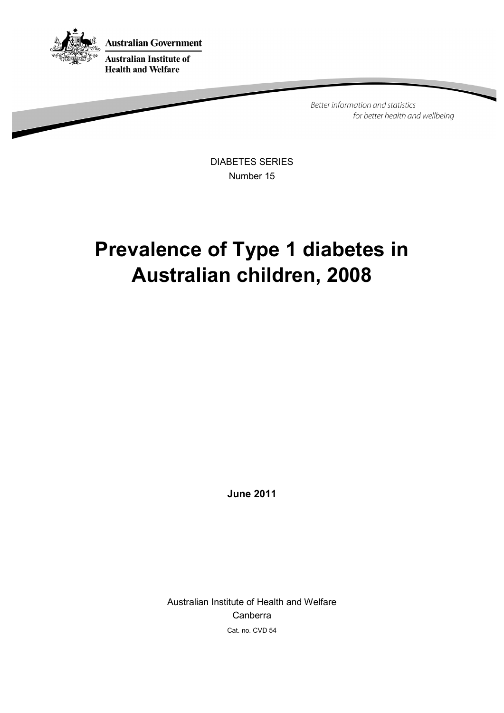

Australian Government

Australian Institute of **Health and Welfare** 

> Better information and statistics for better health and wellbeing

DIABETES SERIES Number 15

# **Prevalence of Type 1 diabetes in Australian children, 2008**

**June 2011**

Australian Institute of Health and Welfare Canberra Cat. no. CVD 54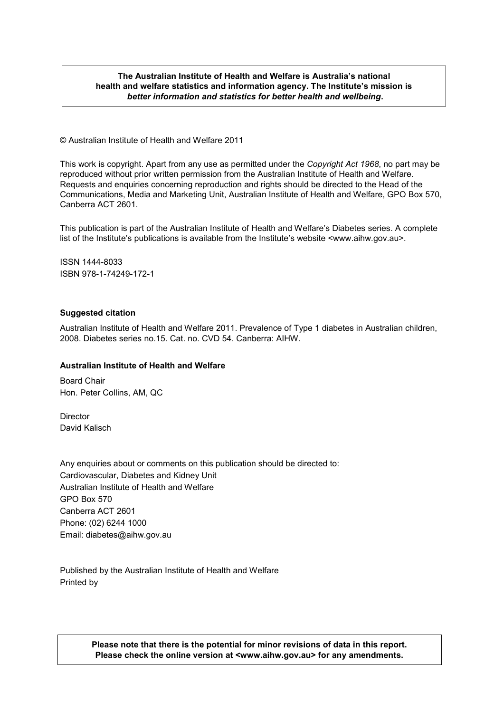#### **The Australian Institute of Health and Welfare is Australia's national health and welfare statistics and information agency. The Institute's mission is** *better information and statistics for better health and wellbeing***.**

#### © Australian Institute of Health and Welfare 2011

This work is copyright. Apart from any use as permitted under the *Copyright Act 1968*, no part may be reproduced without prior written permission from the Australian Institute of Health and Welfare. Requests and enquiries concerning reproduction and rights should be directed to the Head of the Communications, Media and Marketing Unit, Australian Institute of Health and Welfare, GPO Box 570, Canberra ACT 2601.

This publication is part of the Australian Institute of Health and Welfare's Diabetes series. A complete list of the Institute's publications is available from the Institute's website <www.aihw.gov.au>.

ISSN 1444-8033 ISBN 978-1-74249-172-1

#### **Suggested citation**

Australian Institute of Health and Welfare 2011. Prevalence of Type 1 diabetes in Australian children, 2008. Diabetes series no.15. Cat. no. CVD 54. Canberra: AIHW.

#### **Australian Institute of Health and Welfare**

Board Chair Hon. Peter Collins, AM, QC

**Director** David Kalisch

Any enquiries about or comments on this publication should be directed to: Cardiovascular, Diabetes and Kidney Unit Australian Institute of Health and Welfare GPO Box 570 Canberra ACT 2601 Phone: (02) 6244 1000 Email: diabetes@aihw.gov.au

Published by the Australian Institute of Health and Welfare Printed by

> **Please note that there is the potential for minor revisions of data in this report. Please check the online version at <www.aihw.gov.au> for any amendments.**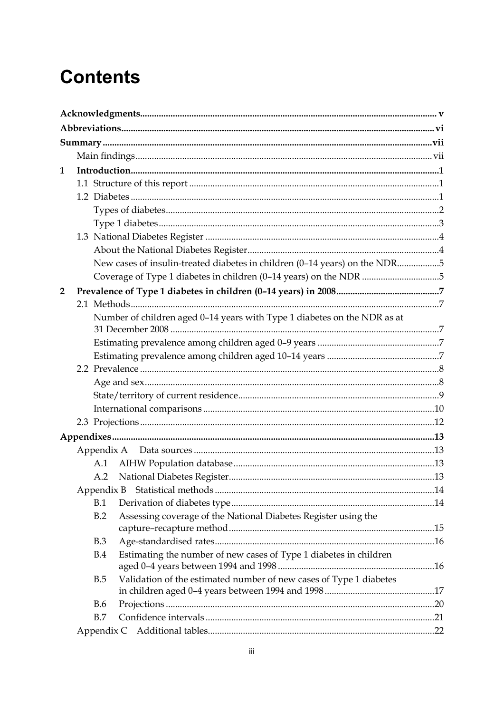# **Contents**

| New cases of insulin-treated diabetes in children (0-14 years) on the NDR5<br>Coverage of Type 1 diabetes in children (0-14 years) on the NDR 5<br>Number of children aged 0-14 years with Type 1 diabetes on the NDR as at<br>A.2<br>B.1<br>Assessing coverage of the National Diabetes Register using the<br>B.2 |                |     |  |
|--------------------------------------------------------------------------------------------------------------------------------------------------------------------------------------------------------------------------------------------------------------------------------------------------------------------|----------------|-----|--|
|                                                                                                                                                                                                                                                                                                                    |                |     |  |
|                                                                                                                                                                                                                                                                                                                    |                |     |  |
|                                                                                                                                                                                                                                                                                                                    |                |     |  |
|                                                                                                                                                                                                                                                                                                                    | $\mathbf{1}$   |     |  |
|                                                                                                                                                                                                                                                                                                                    |                |     |  |
|                                                                                                                                                                                                                                                                                                                    |                |     |  |
|                                                                                                                                                                                                                                                                                                                    |                |     |  |
|                                                                                                                                                                                                                                                                                                                    |                |     |  |
|                                                                                                                                                                                                                                                                                                                    |                |     |  |
|                                                                                                                                                                                                                                                                                                                    |                |     |  |
|                                                                                                                                                                                                                                                                                                                    |                |     |  |
|                                                                                                                                                                                                                                                                                                                    |                |     |  |
|                                                                                                                                                                                                                                                                                                                    | $\overline{2}$ |     |  |
|                                                                                                                                                                                                                                                                                                                    |                |     |  |
|                                                                                                                                                                                                                                                                                                                    |                |     |  |
|                                                                                                                                                                                                                                                                                                                    |                |     |  |
|                                                                                                                                                                                                                                                                                                                    |                |     |  |
|                                                                                                                                                                                                                                                                                                                    |                |     |  |
|                                                                                                                                                                                                                                                                                                                    |                |     |  |
|                                                                                                                                                                                                                                                                                                                    |                |     |  |
|                                                                                                                                                                                                                                                                                                                    |                |     |  |
|                                                                                                                                                                                                                                                                                                                    |                |     |  |
|                                                                                                                                                                                                                                                                                                                    |                |     |  |
|                                                                                                                                                                                                                                                                                                                    |                |     |  |
|                                                                                                                                                                                                                                                                                                                    |                |     |  |
|                                                                                                                                                                                                                                                                                                                    |                |     |  |
|                                                                                                                                                                                                                                                                                                                    |                |     |  |
|                                                                                                                                                                                                                                                                                                                    |                |     |  |
|                                                                                                                                                                                                                                                                                                                    |                |     |  |
|                                                                                                                                                                                                                                                                                                                    |                | B.3 |  |
| Estimating the number of new cases of Type 1 diabetes in children<br>B.4                                                                                                                                                                                                                                           |                |     |  |
| Validation of the estimated number of new cases of Type 1 diabetes<br>B.5                                                                                                                                                                                                                                          |                |     |  |
| <b>B.6</b>                                                                                                                                                                                                                                                                                                         |                |     |  |
| B.7                                                                                                                                                                                                                                                                                                                |                |     |  |
|                                                                                                                                                                                                                                                                                                                    |                |     |  |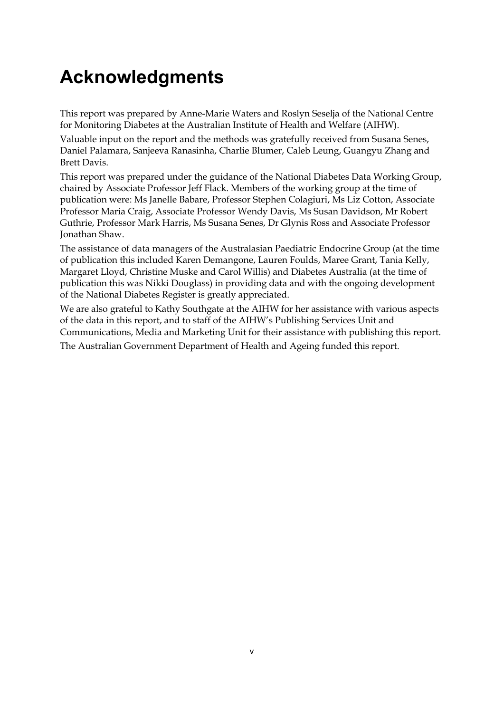# <span id="page-4-0"></span>**Acknowledgments**

This report was prepared by Anne-Marie Waters and Roslyn Seselja of the National Centre for Monitoring Diabetes at the Australian Institute of Health and Welfare (AIHW).

Valuable input on the report and the methods was gratefully received from Susana Senes, Daniel Palamara, Sanjeeva Ranasinha, Charlie Blumer, Caleb Leung, Guangyu Zhang and Brett Davis.

This report was prepared under the guidance of the National Diabetes Data Working Group, chaired by Associate Professor Jeff Flack. Members of the working group at the time of publication were: Ms Janelle Babare, Professor Stephen Colagiuri, Ms Liz Cotton, Associate Professor Maria Craig, Associate Professor Wendy Davis, Ms Susan Davidson, Mr Robert Guthrie, Professor Mark Harris, Ms Susana Senes, Dr Glynis Ross and Associate Professor Jonathan Shaw.

The assistance of data managers of the Australasian Paediatric Endocrine Group (at the time of publication this included Karen Demangone, Lauren Foulds, Maree Grant, Tania Kelly, Margaret Lloyd, Christine Muske and Carol Willis) and Diabetes Australia (at the time of publication this was Nikki Douglass) in providing data and with the ongoing development of the National Diabetes Register is greatly appreciated.

We are also grateful to Kathy Southgate at the AIHW for her assistance with various aspects of the data in this report, and to staff of the AIHW's Publishing Services Unit and Communications, Media and Marketing Unit for their assistance with publishing this report. The Australian Government Department of Health and Ageing funded this report.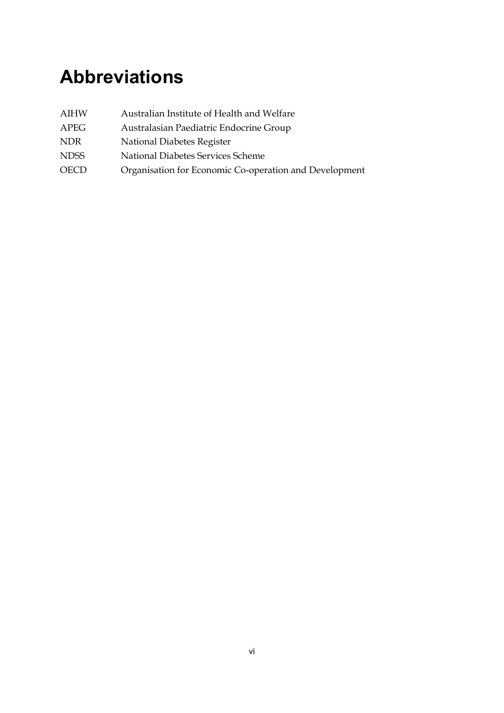# <span id="page-5-0"></span>**Abbreviations**

| Australian Institute of Health and Welfare<br>AIHW |
|----------------------------------------------------|
|----------------------------------------------------|

- APEG Australasian Paediatric Endocrine Group
- NDR National Diabetes Register
- NDSS National Diabetes Services Scheme
- OECD Organisation for Economic Co-operation and Development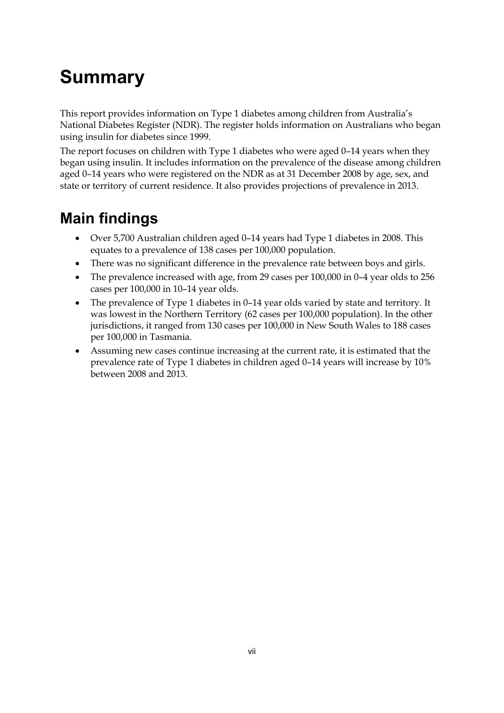# <span id="page-6-0"></span>**Summary**

This report provides information on Type 1 diabetes among children from Australia's National Diabetes Register (NDR). The register holds information on Australians who began using insulin for diabetes since 1999.

The report focuses on children with Type 1 diabetes who were aged 0–14 years when they began using insulin. It includes information on the prevalence of the disease among children aged 0–14 years who were registered on the NDR as at 31 December 2008 by age, sex, and state or territory of current residence. It also provides projections of prevalence in 2013.

# <span id="page-6-1"></span>**Main findings**

- Over 5,700 Australian children aged 0–14 years had Type 1 diabetes in 2008. This equates to a prevalence of 138 cases per 100,000 population.
- There was no significant difference in the prevalence rate between boys and girls.
- The prevalence increased with age, from 29 cases per 100,000 in 0–4 year olds to 256 cases per 100,000 in 10–14 year olds.
- The prevalence of Type 1 diabetes in 0–14 year olds varied by state and territory. It was lowest in the Northern Territory (62 cases per 100,000 population). In the other jurisdictions, it ranged from 130 cases per 100,000 in New South Wales to 188 cases per 100,000 in Tasmania.
- Assuming new cases continue increasing at the current rate, it is estimated that the prevalence rate of Type 1 diabetes in children aged 0–14 years will increase by 10% between 2008 and 2013.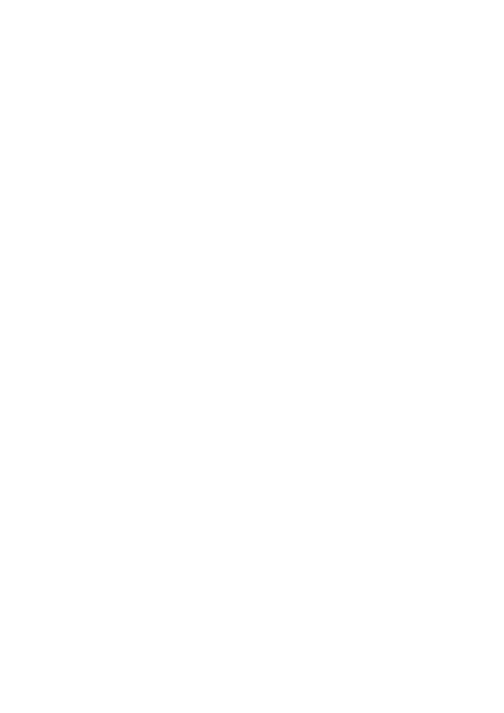<span id="page-7-0"></span>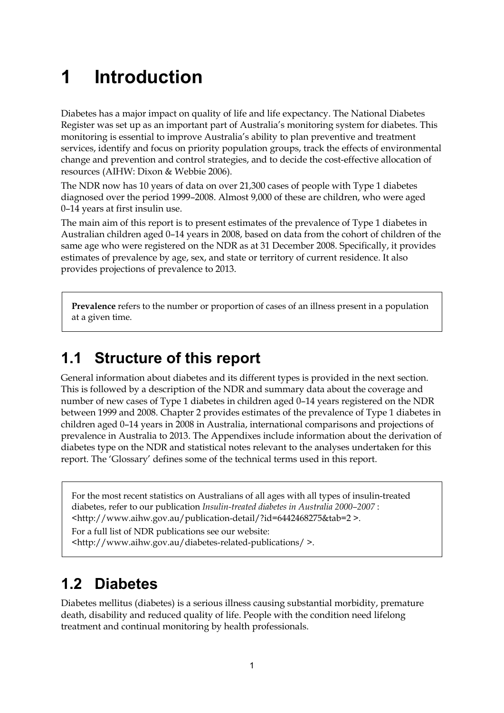# **1 Introduction**

Diabetes has a major impact on quality of life and life expectancy. The National Diabetes Register was set up as an important part of Australia's monitoring system for diabetes. This monitoring is essential to improve Australia's ability to plan preventive and treatment services, identify and focus on priority population groups, track the effects of environmental change and prevention and control strategies, and to decide the cost-effective allocation of resources (AIHW: Dixon & Webbie 2006).

The NDR now has 10 years of data on over 21,300 cases of people with Type 1 diabetes diagnosed over the period 1999–2008. Almost 9,000 of these are children, who were aged 0–14 years at first insulin use.

The main aim of this report is to present estimates of the prevalence of Type 1 diabetes in Australian children aged 0–14 years in 2008, based on data from the cohort of children of the same age who were registered on the NDR as at 31 December 2008. Specifically, it provides estimates of prevalence by age, sex, and state or territory of current residence. It also provides projections of prevalence to 2013.

**Prevalence** refers to the number or proportion of cases of an illness present in a population at a given time.

# <span id="page-8-0"></span>**1.1 Structure of this report**

General information about diabetes and its different types is provided in the next section. This is followed by a description of the NDR and summary data about the coverage and number of new cases of Type 1 diabetes in children aged 0–14 years registered on the NDR between 1999 and 2008. Chapter 2 provides estimates of the prevalence of Type 1 diabetes in children aged 0–14 years in 2008 in Australia, international comparisons and projections of prevalence in Australia to 2013. The Appendixes include information about the derivation of diabetes type on the NDR and statistical notes relevant to the analyses undertaken for this report. The 'Glossary' defines some of the technical terms used in this report.

For the most recent statistics on Australians of all ages with all types of insulin-treated diabetes, refer to our publication *Insulin-treated diabetes in Australia 2000–2007* : <http://www.aihw.gov.au/publication-detail/?id=6442468275&tab=2 >.

For a full list of NDR publications see our website:

<http://www.aihw.gov.au/diabetes-related-publications/ >.

# <span id="page-8-1"></span>**1.2 Diabetes**

Diabetes mellitus (diabetes) is a serious illness causing substantial morbidity, premature death, disability and reduced quality of life. People with the condition need lifelong treatment and continual monitoring by health professionals.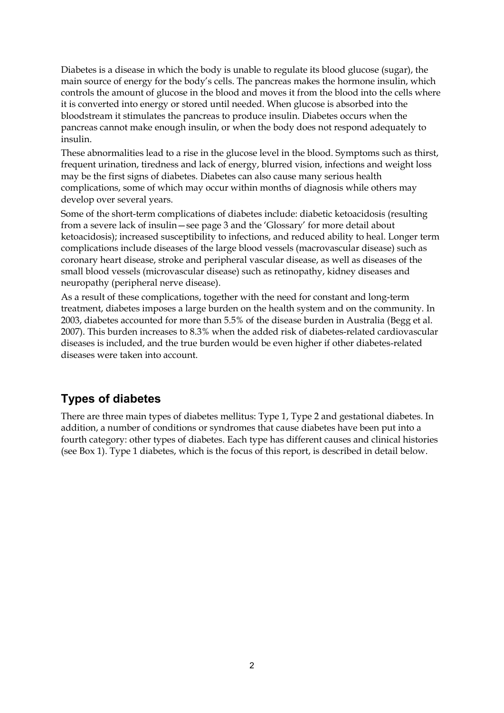Diabetes is a disease in which the body is unable to regulate its blood glucose (sugar), the main source of energy for the body's cells. The pancreas makes the hormone insulin, which controls the amount of glucose in the blood and moves it from the blood into the cells where it is converted into energy or stored until needed. When glucose is absorbed into the bloodstream it stimulates the pancreas to produce insulin. Diabetes occurs when the pancreas cannot make enough insulin, or when the body does not respond adequately to insulin.

These abnormalities lead to a rise in the glucose level in the blood. Symptoms such as thirst, frequent urination, tiredness and lack of energy, blurred vision, infections and weight loss may be the first signs of diabetes. Diabetes can also cause many serious health complications, some of which may occur within months of diagnosis while others may develop over several years.

Some of the short-term complications of diabetes include: diabetic ketoacidosis (resulting from a severe lack of insulin—see page 3 and the 'Glossary' for more detail about ketoacidosis); increased susceptibility to infections, and reduced ability to heal. Longer term complications include diseases of the large blood vessels (macrovascular disease) such as coronary heart disease, stroke and peripheral vascular disease, as well as diseases of the small blood vessels (microvascular disease) such as retinopathy, kidney diseases and neuropathy (peripheral nerve disease).

As a result of these complications, together with the need for constant and long-term treatment, diabetes imposes a large burden on the health system and on the community. In 2003, diabetes accounted for more than 5.5% of the disease burden in Australia (Begg et al. 2007). This burden increases to 8.3% when the added risk of diabetes-related cardiovascular diseases is included, and the true burden would be even higher if other diabetes-related diseases were taken into account.

## <span id="page-9-0"></span>**Types of diabetes**

There are three main types of diabetes mellitus: Type 1, Type 2 and gestational diabetes. In addition, a number of conditions or syndromes that cause diabetes have been put into a fourth category: other types of diabetes. Each type has different causes and clinical histories (see Box 1). Type 1 diabetes, which is the focus of this report, is described in detail below.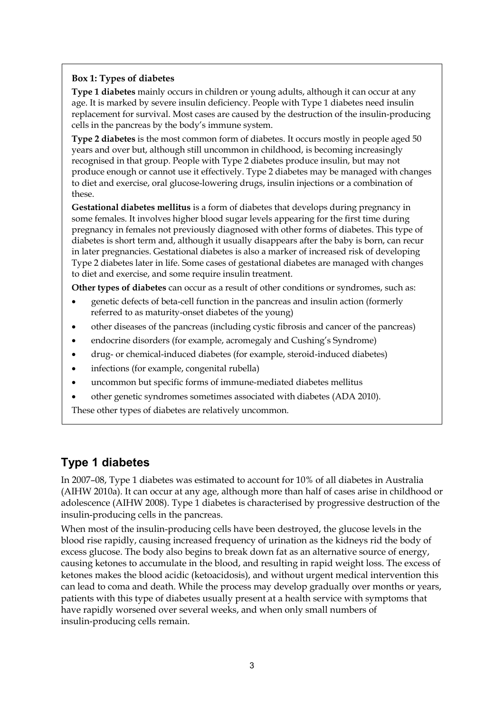#### **Box 1: Types of diabetes**

**Type 1 diabetes** mainly occurs in children or young adults, although it can occur at any age. It is marked by severe insulin deficiency. People with Type 1 diabetes need insulin replacement for survival. Most cases are caused by the destruction of the insulin-producing cells in the pancreas by the body's immune system.

**Type 2 diabetes** is the most common form of diabetes. It occurs mostly in people aged 50 years and over but, although still uncommon in childhood, is becoming increasingly recognised in that group. People with Type 2 diabetes produce insulin, but may not produce enough or cannot use it effectively. Type 2 diabetes may be managed with changes to diet and exercise, oral glucose-lowering drugs, insulin injections or a combination of these.

**Gestational diabetes mellitus** is a form of diabetes that develops during pregnancy in some females. It involves higher blood sugar levels appearing for the first time during pregnancy in females not previously diagnosed with other forms of diabetes. This type of diabetes is short term and, although it usually disappears after the baby is born, can recur in later pregnancies. Gestational diabetes is also a marker of increased risk of developing Type 2 diabetes later in life. Some cases of gestational diabetes are managed with changes to diet and exercise, and some require insulin treatment.

**Other types of diabetes** can occur as a result of other conditions or syndromes, such as:

- genetic defects of beta-cell function in the pancreas and insulin action (formerly referred to as maturity-onset diabetes of the young)
- other diseases of the pancreas (including cystic fibrosis and cancer of the pancreas)
- endocrine disorders (for example, acromegaly and Cushing's Syndrome)
- drug- or chemical-induced diabetes (for example, steroid-induced diabetes)
- infections (for example, congenital rubella)
- uncommon but specific forms of immune-mediated diabetes mellitus
- other genetic syndromes sometimes associated with diabetes (ADA 2010).

These other types of diabetes are relatively uncommon.

## <span id="page-10-0"></span>**Type 1 diabetes**

In 2007–08, Type 1 diabetes was estimated to account for 10% of all diabetes in Australia (AIHW 2010a). It can occur at any age, although more than half of cases arise in childhood or adolescence (AIHW 2008). Type 1 diabetes is characterised by progressive destruction of the insulin-producing cells in the pancreas.

When most of the insulin-producing cells have been destroyed, the glucose levels in the blood rise rapidly, causing increased frequency of urination as the kidneys rid the body of excess glucose. The body also begins to break down fat as an alternative source of energy, causing ketones to accumulate in the blood, and resulting in rapid weight loss. The excess of ketones makes the blood acidic (ketoacidosis), and without urgent medical intervention this can lead to coma and death. While the process may develop gradually over months or years, patients with this type of diabetes usually present at a health service with symptoms that have rapidly worsened over several weeks, and when only small numbers of insulin-producing cells remain.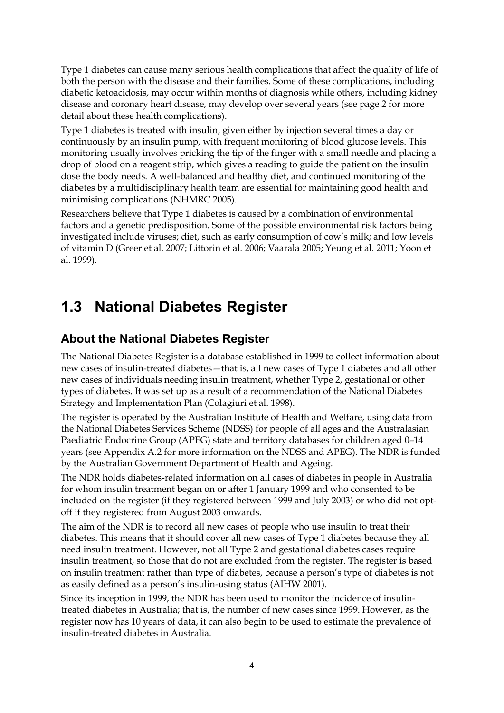Type 1 diabetes can cause many serious health complications that affect the quality of life of both the person with the disease and their families. Some of these complications, including diabetic ketoacidosis, may occur within months of diagnosis while others, including kidney disease and coronary heart disease, may develop over several years (see page 2 for more detail about these health complications).

Type 1 diabetes is treated with insulin, given either by injection several times a day or continuously by an insulin pump, with frequent monitoring of blood glucose levels. This monitoring usually involves pricking the tip of the finger with a small needle and placing a drop of blood on a reagent strip, which gives a reading to guide the patient on the insulin dose the body needs. A well-balanced and healthy diet, and continued monitoring of the diabetes by a multidisciplinary health team are essential for maintaining good health and minimising complications (NHMRC 2005).

Researchers believe that Type 1 diabetes is caused by a combination of environmental factors and a genetic predisposition. Some of the possible environmental risk factors being investigated include viruses; diet, such as early consumption of cow's milk; and low levels of vitamin D (Greer et al. 2007; Littorin et al. 2006; Vaarala 2005; Yeung et al. 2011; Yoon et al. 1999).

# <span id="page-11-0"></span>**1.3 National Diabetes Register**

## <span id="page-11-1"></span>**About the National Diabetes Register**

The National Diabetes Register is a database established in 1999 to collect information about new cases of insulin-treated diabetes—that is, all new cases of Type 1 diabetes and all other new cases of individuals needing insulin treatment, whether Type 2, gestational or other types of diabetes. It was set up as a result of a recommendation of the National Diabetes Strategy and Implementation Plan (Colagiuri et al. 1998).

The register is operated by the Australian Institute of Health and Welfare, using data from the National Diabetes Services Scheme (NDSS) for people of all ages and the Australasian Paediatric Endocrine Group (APEG) state and territory databases for children aged 0–14 years (see Appendix A.2 for more information on the NDSS and APEG). The NDR is funded by the Australian Government Department of Health and Ageing.

The NDR holds diabetes-related information on all cases of diabetes in people in Australia for whom insulin treatment began on or after 1 January 1999 and who consented to be included on the register (if they registered between 1999 and July 2003) or who did not optoff if they registered from August 2003 onwards.

The aim of the NDR is to record all new cases of people who use insulin to treat their diabetes. This means that it should cover all new cases of Type 1 diabetes because they all need insulin treatment. However, not all Type 2 and gestational diabetes cases require insulin treatment, so those that do not are excluded from the register. The register is based on insulin treatment rather than type of diabetes, because a person's type of diabetes is not as easily defined as a person's insulin-using status (AIHW 2001).

Since its inception in 1999, the NDR has been used to monitor the incidence of insulintreated diabetes in Australia; that is, the number of new cases since 1999. However, as the register now has 10 years of data, it can also begin to be used to estimate the prevalence of insulin-treated diabetes in Australia.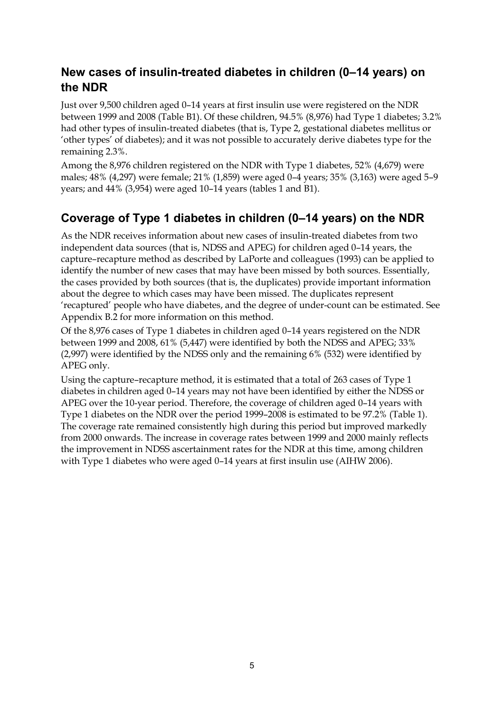## <span id="page-12-0"></span>**New cases of insulin-treated diabetes in children (0–14 years) on the NDR**

Just over 9,500 children aged 0–14 years at first insulin use were registered on the NDR between 1999 and 2008 (Table B1). Of these children, 94.5% (8,976) had Type 1 diabetes; 3.2% had other types of insulin-treated diabetes (that is, Type 2, gestational diabetes mellitus or 'other types' of diabetes); and it was not possible to accurately derive diabetes type for the remaining 2.3%.

Among the 8,976 children registered on the NDR with Type 1 diabetes, 52% (4,679) were males; 48% (4,297) were female; 21% (1,859) were aged 0–4 years; 35% (3,163) were aged 5–9 years; and 44% (3,954) were aged 10–14 years (tables 1 and B1).

## <span id="page-12-1"></span>**Coverage of Type 1 diabetes in children (0–14 years) on the NDR**

As the NDR receives information about new cases of insulin-treated diabetes from two independent data sources (that is, NDSS and APEG) for children aged 0–14 years, the capture–recapture method as described by LaPorte and colleagues (1993) can be applied to identify the number of new cases that may have been missed by both sources. Essentially, the cases provided by both sources (that is, the duplicates) provide important information about the degree to which cases may have been missed. The duplicates represent 'recaptured' people who have diabetes, and the degree of under-count can be estimated. See Appendix B.2 for more information on this method.

Of the 8,976 cases of Type 1 diabetes in children aged 0–14 years registered on the NDR between 1999 and 2008, 61% (5,447) were identified by both the NDSS and APEG; 33% (2,997) were identified by the NDSS only and the remaining 6% (532) were identified by APEG only.

Using the capture–recapture method, it is estimated that a total of 263 cases of Type 1 diabetes in children aged 0–14 years may not have been identified by either the NDSS or APEG over the 10-year period. Therefore, the coverage of children aged 0–14 years with Type 1 diabetes on the NDR over the period 1999–2008 is estimated to be 97.2% (Table 1). The coverage rate remained consistently high during this period but improved markedly from 2000 onwards. The increase in coverage rates between 1999 and 2000 mainly reflects the improvement in NDSS ascertainment rates for the NDR at this time, among children with Type 1 diabetes who were aged 0–14 years at first insulin use (AIHW 2006).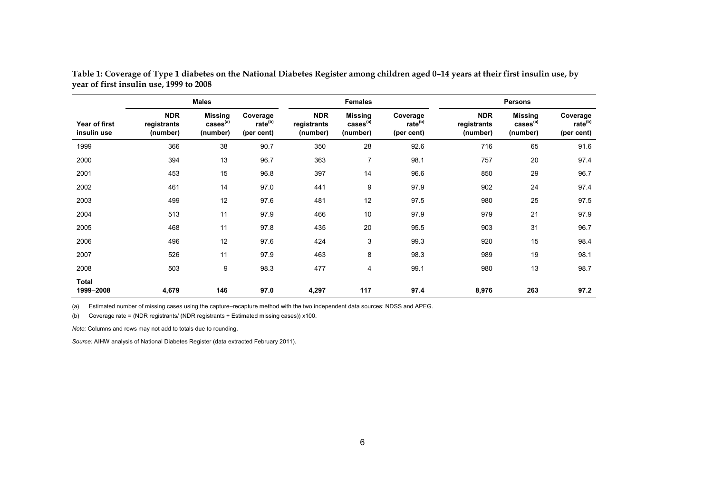|                              | <b>Males</b>                          |                                                    |                                               | <b>Females</b>                        |                                                      |                                               | <b>Persons</b>                        |                                                    |                                               |
|------------------------------|---------------------------------------|----------------------------------------------------|-----------------------------------------------|---------------------------------------|------------------------------------------------------|-----------------------------------------------|---------------------------------------|----------------------------------------------------|-----------------------------------------------|
| Year of first<br>insulin use | <b>NDR</b><br>registrants<br>(number) | <b>Missing</b><br>$\cases^{(\bar{a})}$<br>(number) | Coverage<br>rate <sup>(b)</sup><br>(per cent) | <b>NDR</b><br>registrants<br>(number) | <b>Missing</b><br>$cases^{\overline{a}}$<br>(number) | Coverage<br>rate <sup>(b)</sup><br>(per cent) | <b>NDR</b><br>registrants<br>(number) | <b>Missing</b><br>$\cases^{(\bar{a})}$<br>(number) | Coverage<br>rate <sup>(b)</sup><br>(per cent) |
| 1999                         | 366                                   | 38                                                 | 90.7                                          | 350                                   | 28                                                   | 92.6                                          | 716                                   | 65                                                 | 91.6                                          |
| 2000                         | 394                                   | 13                                                 | 96.7                                          | 363                                   | $\overline{7}$                                       | 98.1                                          | 757                                   | 20                                                 | 97.4                                          |
| 2001                         | 453                                   | 15                                                 | 96.8                                          | 397                                   | 14                                                   | 96.6                                          | 850                                   | 29                                                 | 96.7                                          |
| 2002                         | 461                                   | 14                                                 | 97.0                                          | 441                                   | 9                                                    | 97.9                                          | 902                                   | 24                                                 | 97.4                                          |
| 2003                         | 499                                   | 12                                                 | 97.6                                          | 481                                   | 12                                                   | 97.5                                          | 980                                   | 25                                                 | 97.5                                          |
| 2004                         | 513                                   | 11                                                 | 97.9                                          | 466                                   | 10                                                   | 97.9                                          | 979                                   | 21                                                 | 97.9                                          |
| 2005                         | 468                                   | 11                                                 | 97.8                                          | 435                                   | 20                                                   | 95.5                                          | 903                                   | 31                                                 | 96.7                                          |
| 2006                         | 496                                   | 12                                                 | 97.6                                          | 424                                   | 3                                                    | 99.3                                          | 920                                   | 15                                                 | 98.4                                          |
| 2007                         | 526                                   | 11                                                 | 97.9                                          | 463                                   | 8                                                    | 98.3                                          | 989                                   | 19                                                 | 98.1                                          |
| 2008                         | 503                                   | 9                                                  | 98.3                                          | 477                                   | 4                                                    | 99.1                                          | 980                                   | 13                                                 | 98.7                                          |
| <b>Total</b><br>1999-2008    | 4,679                                 | 146                                                | 97.0                                          | 4,297                                 | 117                                                  | 97.4                                          | 8,976                                 | 263                                                | 97.2                                          |

**Table 1: Coverage of Type 1 diabetes on the National Diabetes Register among children aged 0–14 years at their first insulin use, by year of first insulin use, 1999 to 2008**

<span id="page-13-0"></span>(a) Estimated number of missing cases using the capture–recapture method with the two independent data sources: NDSS and APEG.

(b) Coverage rate = (NDR registrants/ (NDR registrants + Estimated missing cases)) x100.

*Note:* Columns and rows may not add to totals due to rounding.

*Source:* AIHW analysis of National Diabetes Register (data extracted February 2011).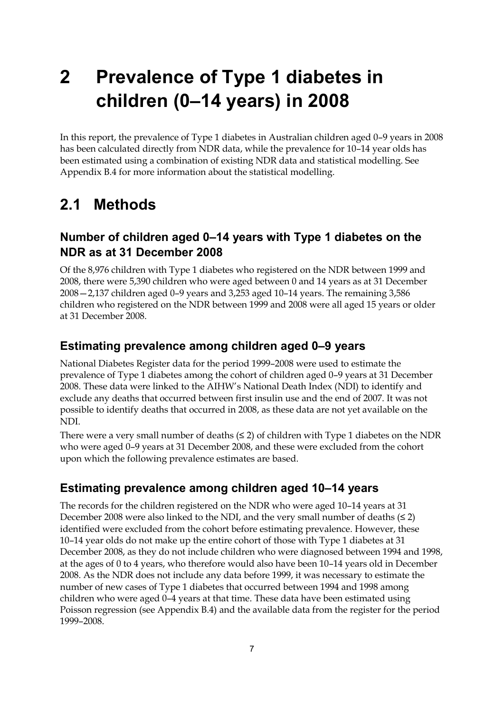# <span id="page-14-0"></span>**2 Prevalence of Type 1 diabetes in children (0–14 years) in 2008**

In this report, the prevalence of Type 1 diabetes in Australian children aged 0–9 years in 2008 has been calculated directly from NDR data, while the prevalence for 10–14 year olds has been estimated using a combination of existing NDR data and statistical modelling. See Appendix B.4 for more information about the statistical modelling.

# <span id="page-14-1"></span>**2.1 Methods**

### <span id="page-14-2"></span>**Number of children aged 0–14 years with Type 1 diabetes on the NDR as at 31 December 2008**

Of the 8,976 children with Type 1 diabetes who registered on the NDR between 1999 and 2008, there were 5,390 children who were aged between 0 and 14 years as at 31 December 2008—2,137 children aged 0–9 years and 3,253 aged 10–14 years. The remaining 3,586 children who registered on the NDR between 1999 and 2008 were all aged 15 years or older at 31 December 2008.

### <span id="page-14-3"></span>**Estimating prevalence among children aged 0–9 years**

National Diabetes Register data for the period 1999–2008 were used to estimate the prevalence of Type 1 diabetes among the cohort of children aged 0–9 years at 31 December 2008. These data were linked to the AIHW's National Death Index (NDI) to identify and exclude any deaths that occurred between first insulin use and the end of 2007. It was not possible to identify deaths that occurred in 2008, as these data are not yet available on the NDI.

There were a very small number of deaths  $(\leq 2)$  of children with Type 1 diabetes on the NDR who were aged 0–9 years at 31 December 2008, and these were excluded from the cohort upon which the following prevalence estimates are based.

### <span id="page-14-4"></span>**Estimating prevalence among children aged 10–14 years**

The records for the children registered on the NDR who were aged 10–14 years at 31 December 2008 were also linked to the NDI, and the very small number of deaths  $(≤ 2)$ identified were excluded from the cohort before estimating prevalence. However, these 10–14 year olds do not make up the entire cohort of those with Type 1 diabetes at 31 December 2008, as they do not include children who were diagnosed between 1994 and 1998, at the ages of 0 to 4 years, who therefore would also have been 10–14 years old in December 2008. As the NDR does not include any data before 1999, it was necessary to estimate the number of new cases of Type 1 diabetes that occurred between 1994 and 1998 among children who were aged 0–4 years at that time. These data have been estimated using Poisson regression (see Appendix B.4) and the available data from the register for the period 1999–2008.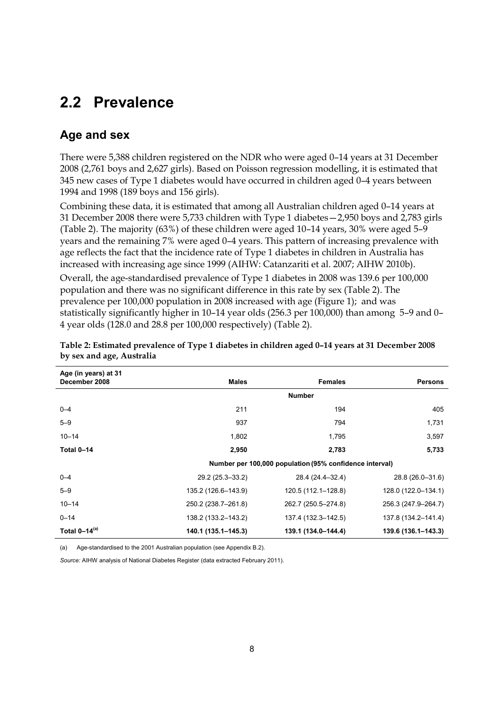## <span id="page-15-0"></span>**2.2 Prevalence**

### <span id="page-15-1"></span>**Age and sex**

There were 5,388 children registered on the NDR who were aged 0–14 years at 31 December 2008 (2,761 boys and 2,627 girls). Based on Poisson regression modelling, it is estimated that 345 new cases of Type 1 diabetes would have occurred in children aged 0–4 years between 1994 and 1998 (189 boys and 156 girls).

Combining these data, it is estimated that among all Australian children aged 0–14 years at 31 December 2008 there were 5,733 children with Type 1 diabetes—2,950 boys and 2,783 girls (Table 2). The majority (63%) of these children were aged 10–14 years, 30% were aged 5–9 years and the remaining 7% were aged 0–4 years. This pattern of increasing prevalence with age reflects the fact that the incidence rate of Type 1 diabetes in children in Australia has increased with increasing age since 1999 (AIHW: Catanzariti et al. 2007; AIHW 2010b).

Overall, the age-standardised prevalence of Type 1 diabetes in 2008 was 139.6 per 100,000 population and there was no significant difference in this rate by sex (Table 2). The prevalence per 100,000 population in 2008 increased with age (Figure 1); and was statistically significantly higher in 10–14 year olds (256.3 per 100,000) than among 5–9 and 0– 4 year olds (128.0 and 28.8 per 100,000 respectively) (Table 2).

| Age (in years) at 31<br>December 2008 | <b>Males</b>        | <b>Females</b>                                          | <b>Persons</b>      |
|---------------------------------------|---------------------|---------------------------------------------------------|---------------------|
|                                       |                     | <b>Number</b>                                           |                     |
| $0 - 4$                               | 211                 | 194                                                     | 405                 |
| $5 - 9$                               | 937                 | 794                                                     | 1,731               |
| $10 - 14$                             | 1,802               | 1,795                                                   | 3,597               |
| Total 0-14                            | 2,950               | 2,783                                                   | 5,733               |
|                                       |                     | Number per 100,000 population (95% confidence interval) |                     |
| $0 - 4$                               | 29.2 (25.3-33.2)    | 28.4 (24.4-32.4)                                        | 28.8 (26.0-31.6)    |
| $5 - 9$                               | 135.2 (126.6-143.9) | 120.5 (112.1-128.8)                                     | 128.0 (122.0-134.1) |
| $10 - 14$                             | 250.2 (238.7-261.8) | 262.7 (250.5-274.8)                                     | 256.3 (247.9-264.7) |
| $0 - 14$                              | 138.2 (133.2–143.2) | 137.4 (132.3-142.5)                                     | 137.8 (134.2-141.4) |
| Total 0-14(a)                         | 140.1 (135.1–145.3) | 139.1 (134.0-144.4)                                     | 139.6 (136.1-143.3) |

<span id="page-15-2"></span>**Table 2: Estimated prevalence of Type 1 diabetes in children aged 0–14 years at 31 December 2008 by sex and age, Australia** 

(a) Age-standardised to the 2001 Australian population (see Appendix B.2).

*Source:* AIHW analysis of National Diabetes Register (data extracted February 2011).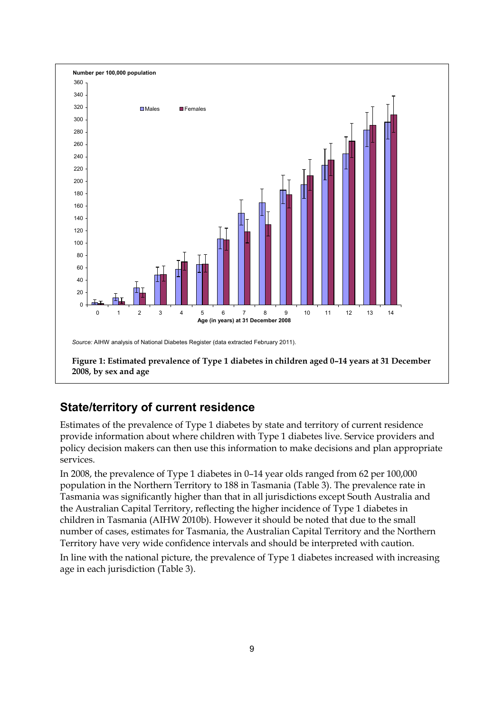

### <span id="page-16-1"></span><span id="page-16-0"></span>**State/territory of current residence**

Estimates of the prevalence of Type 1 diabetes by state and territory of current residence provide information about where children with Type 1 diabetes live. Service providers and policy decision makers can then use this information to make decisions and plan appropriate services.

In 2008, the prevalence of Type 1 diabetes in 0–14 year olds ranged from 62 per 100,000 population in the Northern Territory to 188 in Tasmania (Table 3). The prevalence rate in Tasmania was significantly higher than that in all jurisdictions except South Australia and the Australian Capital Territory, reflecting the higher incidence of Type 1 diabetes in children in Tasmania (AIHW 2010b). However it should be noted that due to the small number of cases, estimates for Tasmania, the Australian Capital Territory and the Northern Territory have very wide confidence intervals and should be interpreted with caution.

In line with the national picture, the prevalence of Type 1 diabetes increased with increasing age in each jurisdiction (Table 3).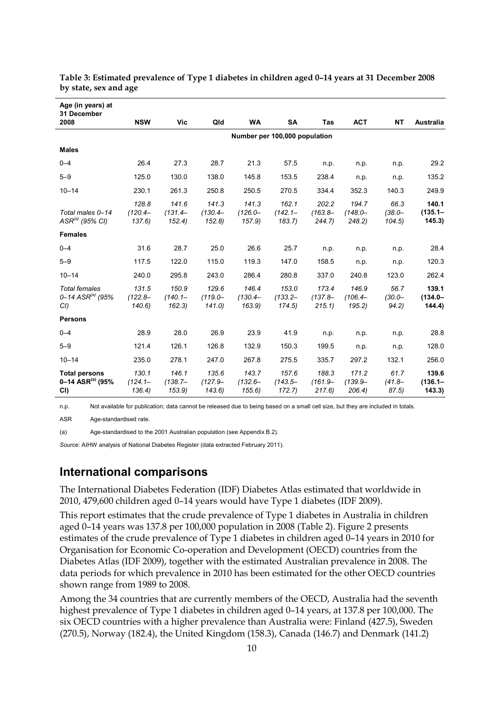| Age (in years) at<br>31 December                    |                               |                               |                              |                               |                                  |                              |                               |                            |                               |
|-----------------------------------------------------|-------------------------------|-------------------------------|------------------------------|-------------------------------|----------------------------------|------------------------------|-------------------------------|----------------------------|-------------------------------|
| 2008                                                | <b>NSW</b>                    | Vic                           | Qld                          | <b>WA</b>                     | SA                               | Tas                          | <b>ACT</b>                    | <b>NT</b>                  | Australia                     |
|                                                     |                               |                               |                              |                               | Number per 100,000 population    |                              |                               |                            |                               |
| <b>Males</b>                                        |                               |                               |                              |                               |                                  |                              |                               |                            |                               |
| $0 - 4$                                             | 26.4                          | 27.3                          | 28.7                         | 21.3                          | 57.5                             | n.p.                         | n.p.                          | n.p.                       | 29.2                          |
| $5 - 9$                                             | 125.0                         | 130.0                         | 138.0                        | 145.8                         | 153.5                            | 238.4                        | n.p.                          | n.p.                       | 135.2                         |
| $10 - 14$                                           | 230.1                         | 261.3                         | 250.8                        | 250.5                         | 270.5                            | 334.4                        | 352.3                         | 140.3                      | 249.9                         |
| Total males 0-14<br>$ASR^{(a)}$ (95% CI)            | 128.8<br>$(120.4 -$<br>137.6  | 141.6<br>$(131.4 -$<br>152.4) | 141.3<br>$(130.4 -$<br>152.8 | 141.3<br>$(126.0 -$<br>157.9  | 162.1<br>$(142.1 -$<br>$183.7$ ) | 202.2<br>$(163.8 -$<br>244.7 | 194.7<br>$(148.0 -$<br>248.2  | 66.3<br>$(38.0 -$<br>104.5 | 140.1<br>$(135.1 -$<br>145.3) |
| <b>Females</b>                                      |                               |                               |                              |                               |                                  |                              |                               |                            |                               |
| $0 - 4$                                             | 31.6                          | 28.7                          | 25.0                         | 26.6                          | 25.7                             | n.p.                         | n.p.                          | n.p.                       | 28.4                          |
| $5 - 9$                                             | 117.5                         | 122.0                         | 115.0                        | 119.3                         | 147.0                            | 158.5                        | n.p.                          | n.p.                       | 120.3                         |
| $10 - 14$                                           | 240.0                         | 295.8                         | 243.0                        | 286.4                         | 280.8                            | 337.0                        | 240.8                         | 123.0                      | 262.4                         |
| <b>Total females</b><br>0-14 $ASR^{(a)}$ (95%<br>CI | 131.5<br>$(122.8 -$<br>140.6  | 150.9<br>$(140.1 -$<br>162.3  | 129.6<br>$(119.0 -$<br>141.0 | 146.4<br>$(130.4 -$<br>163.9  | 153.0<br>$(133.2 -$<br>174.5     | 173.4<br>$(137.8 -$<br>215.1 | 146.9<br>$(106.4 -$<br>195.2  | 56.7<br>$(30.0 -$<br>94.2  | 139.1<br>$(134.0 -$<br>144.4) |
| <b>Persons</b>                                      |                               |                               |                              |                               |                                  |                              |                               |                            |                               |
| $0 - 4$                                             | 28.9                          | 28.0                          | 26.9                         | 23.9                          | 41.9                             | n.p.                         | n.p.                          | n.p.                       | 28.8                          |
| $5 - 9$                                             | 121.4                         | 126.1                         | 126.8                        | 132.9                         | 150.3                            | 199.5                        | n.p.                          | n.p.                       | 128.0                         |
| $10 - 14$                                           | 235.0                         | 278.1                         | 247.0                        | 267.8                         | 275.5                            | 335.7                        | 297.2                         | 132.1                      | 256.0                         |
| <b>Total persons</b><br>0-14 ASR(a) (95%<br>CI)     | 130.1<br>$(124.1 -$<br>136.4) | 146.1<br>$(138.7 -$<br>153.9) | 135.6<br>$(127.9 -$<br>143.6 | 143.7<br>$(132.6 -$<br>155.6) | 157.6<br>$(143.5 -$<br>172.7     | 188.3<br>$(161.9 -$<br>217.6 | 171.2<br>$(139.9 -$<br>206.4) | 61.7<br>$(41.8 -$<br>87.5) | 139.6<br>$(136.1 -$<br>143.3) |

<span id="page-17-1"></span>**Table 3: Estimated prevalence of Type 1 diabetes in children aged 0–14 years at 31 December 2008 by state, sex and age**

n.p. Not available for publication; data cannot be released due to being based on a small cell size, but they are included in totals.

ASR Age-standardised rate.

(a) Age-standardised to the 2001 Australian population (see Appendix B.2).

*Source:* AIHW analysis of National Diabetes Register (data extracted February 2011).

#### <span id="page-17-0"></span>**International comparisons**

The International Diabetes Federation (IDF) Diabetes Atlas estimated that worldwide in 2010, 479,600 children aged 0–14 years would have Type 1 diabetes (IDF 2009).

This report estimates that the crude prevalence of Type 1 diabetes in Australia in children aged 0–14 years was 137.8 per 100,000 population in 2008 (Table 2). Figure 2 presents estimates of the crude prevalence of Type 1 diabetes in children aged 0–14 years in 2010 for Organisation for Economic Co-operation and Development (OECD) countries from the Diabetes Atlas (IDF 2009), together with the estimated Australian prevalence in 2008. The data periods for which prevalence in 2010 has been estimated for the other OECD countries shown range from 1989 to 2008.

Among the 34 countries that are currently members of the OECD, Australia had the seventh highest prevalence of Type 1 diabetes in children aged 0–14 years, at 137.8 per 100,000. The six OECD countries with a higher prevalence than Australia were: Finland (427.5), Sweden (270.5), Norway (182.4), the United Kingdom (158.3), Canada (146.7) and Denmark (141.2)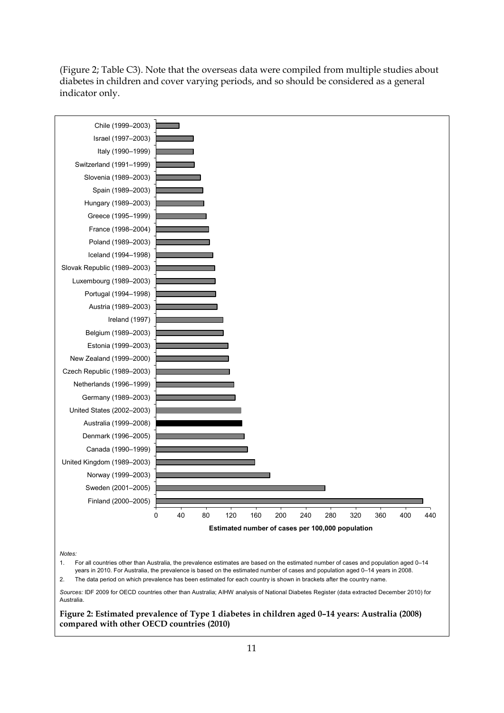(Figure 2; Table C3). Note that the overseas data were compiled from multiple studies about diabetes in children and cover varying periods, and so should be considered as a general indicator only.



*Sources:* IDF 2009 for OECD countries other than Australia; AIHW analysis of National Diabetes Register (data extracted December 2010) for Australia.

<span id="page-18-0"></span>**Figure 2: Estimated prevalence of Type 1 diabetes in children aged 0–14 years: Australia (2008) compared with other OECD countries (2010)**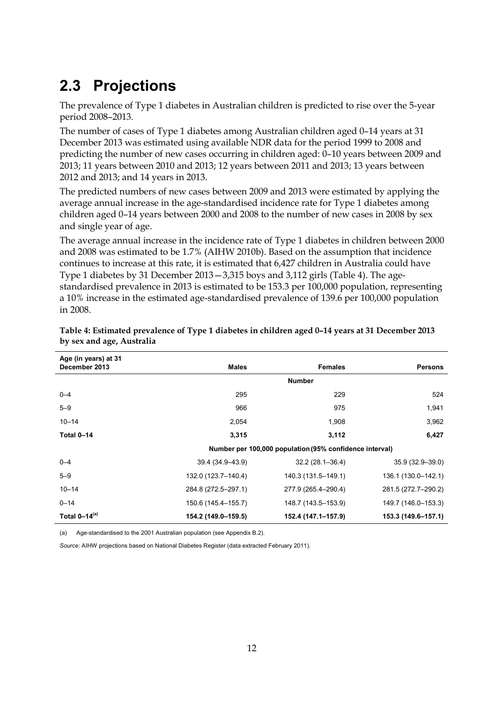# <span id="page-19-0"></span>**2.3 Projections**

The prevalence of Type 1 diabetes in Australian children is predicted to rise over the 5-year period 2008–2013.

The number of cases of Type 1 diabetes among Australian children aged 0–14 years at 31 December 2013 was estimated using available NDR data for the period 1999 to 2008 and predicting the number of new cases occurring in children aged: 0–10 years between 2009 and 2013; 11 years between 2010 and 2013; 12 years between 2011 and 2013; 13 years between 2012 and 2013; and 14 years in 2013.

The predicted numbers of new cases between 2009 and 2013 were estimated by applying the average annual increase in the age-standardised incidence rate for Type 1 diabetes among children aged 0–14 years between 2000 and 2008 to the number of new cases in 2008 by sex and single year of age.

The average annual increase in the incidence rate of Type 1 diabetes in children between 2000 and 2008 was estimated to be 1.7% (AIHW 2010b). Based on the assumption that incidence continues to increase at this rate, it is estimated that 6,427 children in Australia could have Type 1 diabetes by 31 December 2013—3,315 boys and 3,112 girls (Table 4). The agestandardised prevalence in 2013 is estimated to be 153.3 per 100,000 population, representing a 10% increase in the estimated age-standardised prevalence of 139.6 per 100,000 population in 2008.

| Age (in years) at 31<br>December 2013 | <b>Males</b>        | <b>Females</b>                                          | <b>Persons</b>      |
|---------------------------------------|---------------------|---------------------------------------------------------|---------------------|
|                                       |                     | <b>Number</b>                                           |                     |
| $0 - 4$                               | 295                 | 229                                                     | 524                 |
| $5 - 9$                               | 966                 | 975                                                     | 1,941               |
| $10 - 14$                             | 2,054               | 1,908                                                   | 3,962               |
| Total 0-14                            | 3,315               | 3,112                                                   | 6,427               |
|                                       |                     | Number per 100,000 population (95% confidence interval) |                     |
| $0 - 4$                               | 39.4 (34.9-43.9)    | $32.2(28.1 - 36.4)$                                     | $35.9(32.9 - 39.0)$ |
| $5 - 9$                               | 132.0 (123.7-140.4) | 140.3 (131.5-149.1)                                     | 136.1 (130.0-142.1) |
| $10 - 14$                             | 284.8 (272.5-297.1) | 277.9 (265.4-290.4)                                     | 281.5 (272.7-290.2) |
| $0 - 14$                              | 150.6 (145.4-155.7) | 148.7 (143.5-153.9)                                     | 149.7 (146.0-153.3) |
| Total $0-14^{(a)}$                    | 154.2 (149.0-159.5) | 152.4 (147.1-157.9)                                     | 153.3 (149.6-157.1) |

#### <span id="page-19-1"></span>**Table 4: Estimated prevalence of Type 1 diabetes in children aged 0–14 years at 31 December 2013 by sex and age, Australia**

(a) Age-standardised to the 2001 Australian population (see Appendix B.2).

*Source:* AIHW projections based on National Diabetes Register (data extracted February 2011).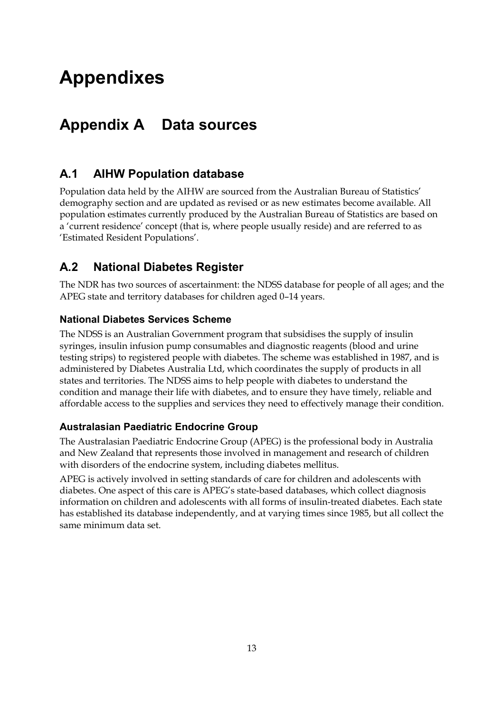# <span id="page-20-0"></span>**Appendixes**

## <span id="page-20-1"></span>**Appendix A Data sources**

### <span id="page-20-2"></span>**A.1 AIHW Population database**

Population data held by the AIHW are sourced from the Australian Bureau of Statistics' demography section and are updated as revised or as new estimates become available. All population estimates currently produced by the Australian Bureau of Statistics are based on a 'current residence' concept (that is, where people usually reside) and are referred to as 'Estimated Resident Populations'.

## <span id="page-20-3"></span>**A.2 National Diabetes Register**

The NDR has two sources of ascertainment: the NDSS database for people of all ages; and the APEG state and territory databases for children aged 0–14 years.

#### **National Diabetes Services Scheme**

The NDSS is an Australian Government program that subsidises the supply of insulin syringes, insulin infusion pump consumables and diagnostic reagents (blood and urine testing strips) to registered people with diabetes. The scheme was established in 1987, and is administered by Diabetes Australia Ltd, which coordinates the supply of products in all states and territories. The NDSS aims to help people with diabetes to understand the condition and manage their life with diabetes, and to ensure they have timely, reliable and affordable access to the supplies and services they need to effectively manage their condition.

#### **Australasian Paediatric Endocrine Group**

The Australasian Paediatric Endocrine Group (APEG) is the professional body in Australia and New Zealand that represents those involved in management and research of children with disorders of the endocrine system, including diabetes mellitus.

APEG is actively involved in setting standards of care for children and adolescents with diabetes. One aspect of this care is APEG's state-based databases, which collect diagnosis information on children and adolescents with all forms of insulin-treated diabetes. Each state has established its database independently, and at varying times since 1985, but all collect the same minimum data set.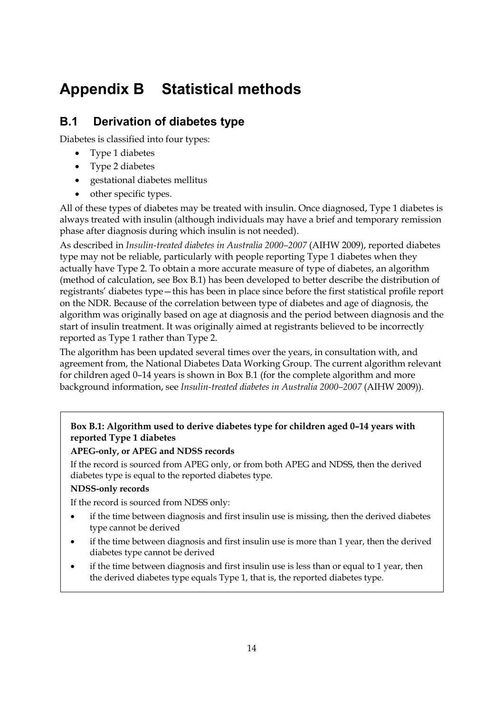# <span id="page-21-0"></span>**Appendix B Statistical methods**

## <span id="page-21-1"></span>**B.1 Derivation of diabetes type**

Diabetes is classified into four types:

- Type 1 diabetes
- Type 2 diabetes
- gestational diabetes mellitus
- other specific types.

All of these types of diabetes may be treated with insulin. Once diagnosed, Type 1 diabetes is always treated with insulin (although individuals may have a brief and temporary remission phase after diagnosis during which insulin is not needed).

As described in *Insulin-treated diabetes in Australia 2000–2007* (AIHW 2009), reported diabetes type may not be reliable, particularly with people reporting Type 1 diabetes when they actually have Type 2. To obtain a more accurate measure of type of diabetes, an algorithm (method of calculation, see Box B.1) has been developed to better describe the distribution of registrants' diabetes type—this has been in place since before the first statistical profile report on the NDR. Because of the correlation between type of diabetes and age of diagnosis, the algorithm was originally based on age at diagnosis and the period between diagnosis and the start of insulin treatment. It was originally aimed at registrants believed to be incorrectly reported as Type 1 rather than Type 2.

The algorithm has been updated several times over the years, in consultation with, and agreement from, the National Diabetes Data Working Group. The current algorithm relevant for children aged 0–14 years is shown in Box B.1 (for the complete algorithm and more background information, see *Insulin-treated diabetes in Australia 2000–2007* (AIHW 2009)).

#### **Box B.1: Algorithm used to derive diabetes type for children aged 0–14 years with reported Type 1 diabetes**

#### **APEG-only, or APEG and NDSS records**

If the record is sourced from APEG only, or from both APEG and NDSS, then the derived diabetes type is equal to the reported diabetes type.

#### **NDSS-only records**

If the record is sourced from NDSS only:

- if the time between diagnosis and first insulin use is missing, then the derived diabetes type cannot be derived
- if the time between diagnosis and first insulin use is more than 1 year, then the derived diabetes type cannot be derived
- if the time between diagnosis and first insulin use is less than or equal to 1 year, then the derived diabetes type equals Type 1, that is, the reported diabetes type.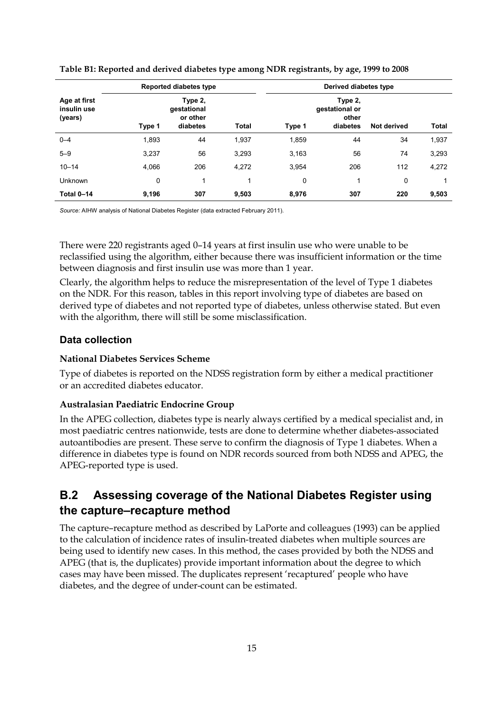|                                        |        | Reported diabetes type                         |              | Derived diabetes type |                                                |             |              |  |  |
|----------------------------------------|--------|------------------------------------------------|--------------|-----------------------|------------------------------------------------|-------------|--------------|--|--|
| Age at first<br>insulin use<br>(years) | Type 1 | Type 2,<br>gestational<br>or other<br>diabetes | <b>Total</b> | Type 1                | Type 2,<br>gestational or<br>other<br>diabetes | Not derived | <b>Total</b> |  |  |
| $0 - 4$                                | 1,893  | 44                                             | 1,937        | 1,859                 | 44                                             | 34          | 1,937        |  |  |
| $5 - 9$                                | 3.237  | 56                                             | 3.293        | 3,163                 | 56                                             | 74          | 3,293        |  |  |
| $10 - 14$                              | 4.066  | 206                                            | 4.272        | 3.954                 | 206                                            | 112         | 4,272        |  |  |
| Unknown                                | 0      | 1                                              | 1            | 0                     |                                                | 0           |              |  |  |
| Total 0-14                             | 9,196  | 307                                            | 9,503        | 8,976                 | 307                                            | 220         | 9,503        |  |  |

<span id="page-22-1"></span>**Table B1: Reported and derived diabetes type among NDR registrants, by age, 1999 to 2008**

*Source:* AIHW analysis of National Diabetes Register (data extracted February 2011).

There were 220 registrants aged 0–14 years at first insulin use who were unable to be reclassified using the algorithm, either because there was insufficient information or the time between diagnosis and first insulin use was more than 1 year.

Clearly, the algorithm helps to reduce the misrepresentation of the level of Type 1 diabetes on the NDR. For this reason, tables in this report involving type of diabetes are based on derived type of diabetes and not reported type of diabetes, unless otherwise stated. But even with the algorithm, there will still be some misclassification.

#### **Data collection**

#### **National Diabetes Services Scheme**

Type of diabetes is reported on the NDSS registration form by either a medical practitioner or an accredited diabetes educator.

#### **Australasian Paediatric Endocrine Group**

In the APEG collection, diabetes type is nearly always certified by a medical specialist and, in most paediatric centres nationwide, tests are done to determine whether diabetes-associated autoantibodies are present. These serve to confirm the diagnosis of Type 1 diabetes. When a difference in diabetes type is found on NDR records sourced from both NDSS and APEG, the APEG-reported type is used.

### <span id="page-22-0"></span>**B.2 Assessing coverage of the National Diabetes Register using the capture–recapture method**

The capture–recapture method as described by LaPorte and colleagues (1993) can be applied to the calculation of incidence rates of insulin-treated diabetes when multiple sources are being used to identify new cases. In this method, the cases provided by both the NDSS and APEG (that is, the duplicates) provide important information about the degree to which cases may have been missed. The duplicates represent 'recaptured' people who have diabetes, and the degree of under-count can be estimated.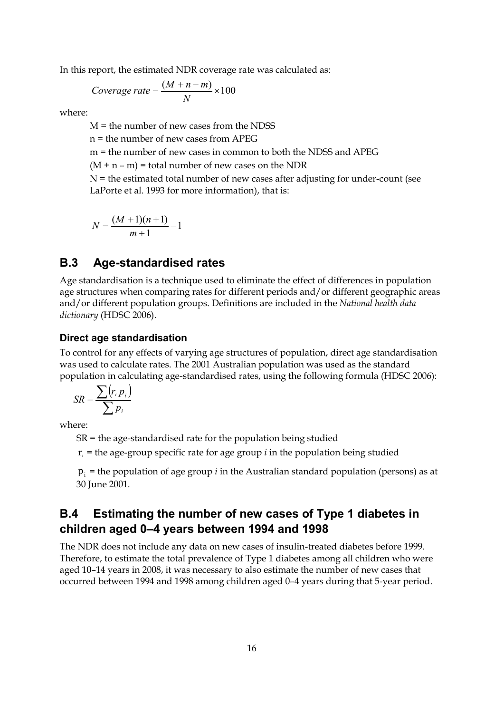In this report, the estimated NDR coverage rate was calculated as:

$$
Coverage\ rate = \frac{(M+n-m)}{N} \times 100
$$

where:

M = the number of new cases from the NDSS n = the number of new cases from APEG m = the number of new cases in common to both the NDSS and APEG  $(M + n - m)$  = total number of new cases on the NDR  $N =$  the estimated total number of new cases after adjusting for under-count (see LaPorte et al. 1993 for more information), that is:

$$
N = \frac{(M+1)(n+1)}{m+1} - 1
$$

#### <span id="page-23-0"></span>**B.3 Age-standardised rates**

Age standardisation is a technique used to eliminate the effect of differences in population age structures when comparing rates for different periods and/or different geographic areas and/or different population groups. Definitions are included in the *National health data dictionary* (HDSC 2006).

#### **Direct age standardisation**

To control for any effects of varying age structures of population, direct age standardisation was used to calculate rates. The 2001 Australian population was used as the standard population in calculating age-standardised rates, using the following formula (HDSC 2006):

$$
SR = \frac{\sum (r_i p_i)}{\sum p_i}
$$

where:

 $SR =$  the age-standardised rate for the population being studied

 $r_i$  = the age-group specific rate for age group *i* in the population being studied

 $p_i$  = the population of age group *i* in the Australian standard population (persons) as at 30 June 2001.

### <span id="page-23-1"></span>**B.4 Estimating the number of new cases of Type 1 diabetes in children aged 0–4 years between 1994 and 1998**

The NDR does not include any data on new cases of insulin-treated diabetes before 1999. Therefore, to estimate the total prevalence of Type 1 diabetes among all children who were aged 10–14 years in 2008, it was necessary to also estimate the number of new cases that occurred between 1994 and 1998 among children aged 0–4 years during that 5-year period.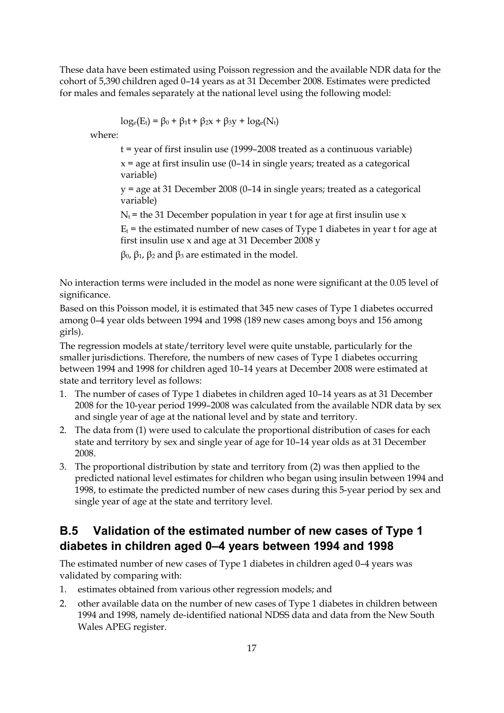These data have been estimated using Poisson regression and the available NDR data for the cohort of 5,390 children aged 0–14 years as at 31 December 2008. Estimates were predicted for males and females separately at the national level using the following model:

$$
log_e(E_t) = \beta_0 + \beta_1 t + \beta_2 x + \beta_3 y + log_e(N_t)
$$

where:

t = year of first insulin use (1999–2008 treated as a continuous variable)

 $x = age$  at first insulin use (0-14 in single years; treated as a categorical variable)

y = age at 31 December 2008 (0–14 in single years; treated as a categorical variable)

 $N_t$  = the 31 December population in year t for age at first insulin use x

 $E_t$  = the estimated number of new cases of Type 1 diabetes in year t for age at first insulin use x and age at 31 December 2008 y

 $β_0$ ,  $β_1$ ,  $β_2$  and  $β_3$  are estimated in the model.

No interaction terms were included in the model as none were significant at the 0.05 level of significance.

Based on this Poisson model, it is estimated that 345 new cases of Type 1 diabetes occurred among 0–4 year olds between 1994 and 1998 (189 new cases among boys and 156 among girls).

The regression models at state/territory level were quite unstable, particularly for the smaller jurisdictions. Therefore, the numbers of new cases of Type 1 diabetes occurring between 1994 and 1998 for children aged 10–14 years at December 2008 were estimated at state and territory level as follows:

- 1. The number of cases of Type 1 diabetes in children aged 10–14 years as at 31 December 2008 for the 10-year period 1999–2008 was calculated from the available NDR data by sex and single year of age at the national level and by state and territory.
- 2. The data from (1) were used to calculate the proportional distribution of cases for each state and territory by sex and single year of age for 10–14 year olds as at 31 December 2008.
- 3. The proportional distribution by state and territory from (2) was then applied to the predicted national level estimates for children who began using insulin between 1994 and 1998, to estimate the predicted number of new cases during this 5-year period by sex and single year of age at the state and territory level.

### <span id="page-24-0"></span>**B.5 Validation of the estimated number of new cases of Type 1 diabetes in children aged 0–4 years between 1994 and 1998**

The estimated number of new cases of Type 1 diabetes in children aged 0–4 years was validated by comparing with:

- 1. estimates obtained from various other regression models; and
- 2. other available data on the number of new cases of Type 1 diabetes in children between 1994 and 1998, namely de-identified national NDSS data and data from the New South Wales APEG register.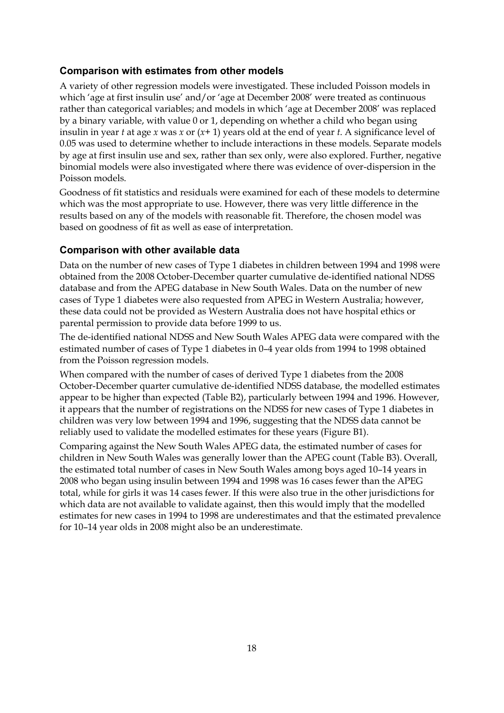#### **Comparison with estimates from other models**

A variety of other regression models were investigated. These included Poisson models in which 'age at first insulin use' and/or 'age at December 2008' were treated as continuous rather than categorical variables; and models in which 'age at December 2008' was replaced by a binary variable, with value 0 or 1, depending on whether a child who began using insulin in year *t* at age *x* was *x* or (*x*+ 1) years old at the end of year *t*. A significance level of 0.05 was used to determine whether to include interactions in these models. Separate models by age at first insulin use and sex, rather than sex only, were also explored. Further, negative binomial models were also investigated where there was evidence of over-dispersion in the Poisson models.

Goodness of fit statistics and residuals were examined for each of these models to determine which was the most appropriate to use. However, there was very little difference in the results based on any of the models with reasonable fit. Therefore, the chosen model was based on goodness of fit as well as ease of interpretation.

#### **Comparison with other available data**

Data on the number of new cases of Type 1 diabetes in children between 1994 and 1998 were obtained from the 2008 October-December quarter cumulative de-identified national NDSS database and from the APEG database in New South Wales. Data on the number of new cases of Type 1 diabetes were also requested from APEG in Western Australia; however, these data could not be provided as Western Australia does not have hospital ethics or parental permission to provide data before 1999 to us.

The de-identified national NDSS and New South Wales APEG data were compared with the estimated number of cases of Type 1 diabetes in 0–4 year olds from 1994 to 1998 obtained from the Poisson regression models.

When compared with the number of cases of derived Type 1 diabetes from the 2008 October-December quarter cumulative de-identified NDSS database, the modelled estimates appear to be higher than expected (Table B2), particularly between 1994 and 1996. However, it appears that the number of registrations on the NDSS for new cases of Type 1 diabetes in children was very low between 1994 and 1996, suggesting that the NDSS data cannot be reliably used to validate the modelled estimates for these years (Figure B1).

Comparing against the New South Wales APEG data, the estimated number of cases for children in New South Wales was generally lower than the APEG count (Table B3). Overall, the estimated total number of cases in New South Wales among boys aged 10–14 years in 2008 who began using insulin between 1994 and 1998 was 16 cases fewer than the APEG total, while for girls it was 14 cases fewer. If this were also true in the other jurisdictions for which data are not available to validate against, then this would imply that the modelled estimates for new cases in 1994 to 1998 are underestimates and that the estimated prevalence for 10–14 year olds in 2008 might also be an underestimate.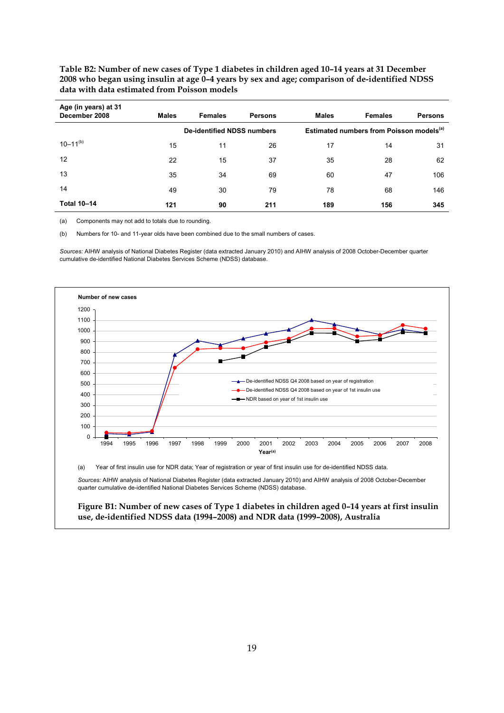| Age (in years) at 31<br>December 2008 | <b>Males</b> | <b>Females</b>                    | <b>Persons</b> | <b>Males</b> | <b>Females</b>                                       | <b>Persons</b> |
|---------------------------------------|--------------|-----------------------------------|----------------|--------------|------------------------------------------------------|----------------|
|                                       |              | <b>De-identified NDSS numbers</b> |                |              | Estimated numbers from Poisson models <sup>(a)</sup> |                |
| $10 - 11^{(b)}$                       | 15           | 11                                | 26             | 17           | 14                                                   | 31             |
| 12                                    | 22           | 15                                | 37             | 35           | 28                                                   | 62             |
| 13                                    | 35           | 34                                | 69             | 60           | 47                                                   | 106            |
| 14                                    | 49           | 30                                | 79             | 78           | 68                                                   | 146            |
| <b>Total 10-14</b>                    | 121          | 90                                | 211            | 189          | 156                                                  | 345            |

<span id="page-26-0"></span>**Table B2: Number of new cases of Type 1 diabetes in children aged 10–14 years at 31 December 2008 who began using insulin at age 0–4 years by sex and age; comparison of de-identified NDSS data with data estimated from Poisson models**

(a) Components may not add to totals due to rounding.

(b) Numbers for 10- and 11-year olds have been combined due to the small numbers of cases.

*Sources:* AIHW analysis of National Diabetes Register (data extracted January 2010) and AIHW analysis of 2008 October-December quarter cumulative de-identified National Diabetes Services Scheme (NDSS) database.



*Sources:* AIHW analysis of National Diabetes Register (data extracted January 2010) and AIHW analysis of 2008 October-December quarter cumulative de-identified National Diabetes Services Scheme (NDSS) database.

<span id="page-26-1"></span>**Figure B1: Number of new cases of Type 1 diabetes in children aged 0–14 years at first insulin use, de-identified NDSS data (1994–2008) and NDR data (1999–2008), Australia**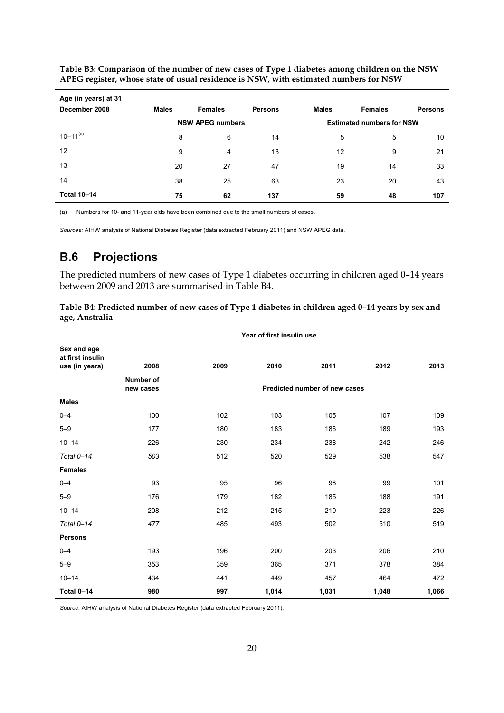| Age (in years) at 31 |              |                         |                |              |                                  |                |
|----------------------|--------------|-------------------------|----------------|--------------|----------------------------------|----------------|
| December 2008        | <b>Males</b> | <b>Females</b>          | <b>Persons</b> | <b>Males</b> | <b>Females</b>                   | <b>Persons</b> |
|                      |              | <b>NSW APEG numbers</b> |                |              | <b>Estimated numbers for NSW</b> |                |
| $10 - 11^{(a)}$      | 8            | 6                       | 14             | 5            | 5                                | 10             |
| 12                   | 9            | $\overline{4}$          | 13             | 12           | 9                                | 21             |
| 13                   | 20           | 27                      | 47             | 19           | 14                               | 33             |
| 14                   | 38           | 25                      | 63             | 23           | 20                               | 43             |
| <b>Total 10-14</b>   | 75           | 62                      | 137            | 59           | 48                               | 107            |

<span id="page-27-1"></span>**Table B3: Comparison of the number of new cases of Type 1 diabetes among children on the NSW APEG register, whose state of usual residence is NSW, with estimated numbers for NSW**

(a) Numbers for 10- and 11-year olds have been combined due to the small numbers of cases.

*Sources:* AIHW analysis of National Diabetes Register (data extracted February 2011) and NSW APEG data.

### <span id="page-27-0"></span>**B.6 Projections**

The predicted numbers of new cases of Type 1 diabetes occurring in children aged 0–14 years between 2009 and 2013 are summarised in Table B4.

<span id="page-27-2"></span>**Table B4: Predicted number of new cases of Type 1 diabetes in children aged 0–14 years by sex and age, Australia**

|                                                   | Year of first insulin use     |      |       |                               |       |       |
|---------------------------------------------------|-------------------------------|------|-------|-------------------------------|-------|-------|
| Sex and age<br>at first insulin<br>use (in years) | 2008                          | 2009 | 2010  | 2011                          | 2012  | 2013  |
|                                                   | <b>Number of</b><br>new cases |      |       | Predicted number of new cases |       |       |
| <b>Males</b>                                      |                               |      |       |                               |       |       |
| $0 - 4$                                           | 100                           | 102  | 103   | 105                           | 107   | 109   |
| $5 - 9$                                           | 177                           | 180  | 183   | 186                           | 189   | 193   |
| $10 - 14$                                         | 226                           | 230  | 234   | 238                           | 242   | 246   |
| Total 0-14                                        | 503                           | 512  | 520   | 529                           | 538   | 547   |
| <b>Females</b>                                    |                               |      |       |                               |       |       |
| $0 - 4$                                           | 93                            | 95   | 96    | 98                            | 99    | 101   |
| $5 - 9$                                           | 176                           | 179  | 182   | 185                           | 188   | 191   |
| $10 - 14$                                         | 208                           | 212  | 215   | 219                           | 223   | 226   |
| Total 0-14                                        | 477                           | 485  | 493   | 502                           | 510   | 519   |
| <b>Persons</b>                                    |                               |      |       |                               |       |       |
| $0 - 4$                                           | 193                           | 196  | 200   | 203                           | 206   | 210   |
| $5 - 9$                                           | 353                           | 359  | 365   | 371                           | 378   | 384   |
| $10 - 14$                                         | 434                           | 441  | 449   | 457                           | 464   | 472   |
| Total 0-14                                        | 980                           | 997  | 1,014 | 1,031                         | 1,048 | 1,066 |

*Source:* AIHW analysis of National Diabetes Register (data extracted February 2011).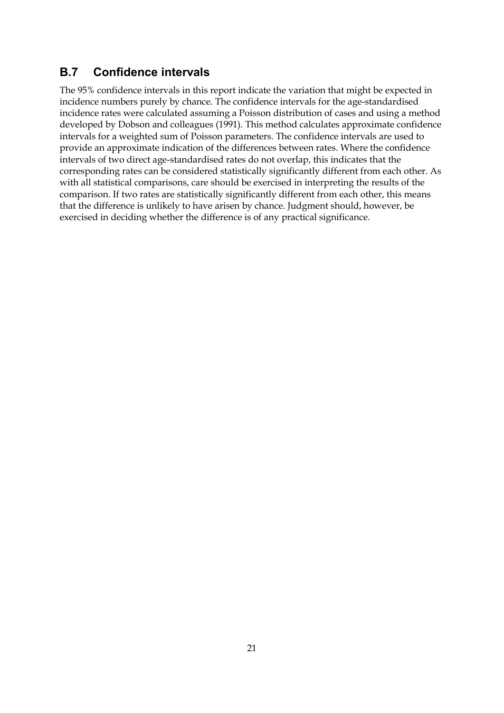## <span id="page-28-0"></span>**B.7 Confidence intervals**

The 95% confidence intervals in this report indicate the variation that might be expected in incidence numbers purely by chance. The confidence intervals for the age-standardised incidence rates were calculated assuming a Poisson distribution of cases and using a method developed by Dobson and colleagues (1991). This method calculates approximate confidence intervals for a weighted sum of Poisson parameters. The confidence intervals are used to provide an approximate indication of the differences between rates. Where the confidence intervals of two direct age-standardised rates do not overlap, this indicates that the corresponding rates can be considered statistically significantly different from each other. As with all statistical comparisons, care should be exercised in interpreting the results of the comparison. If two rates are statistically significantly different from each other, this means that the difference is unlikely to have arisen by chance. Judgment should, however, be exercised in deciding whether the difference is of any practical significance.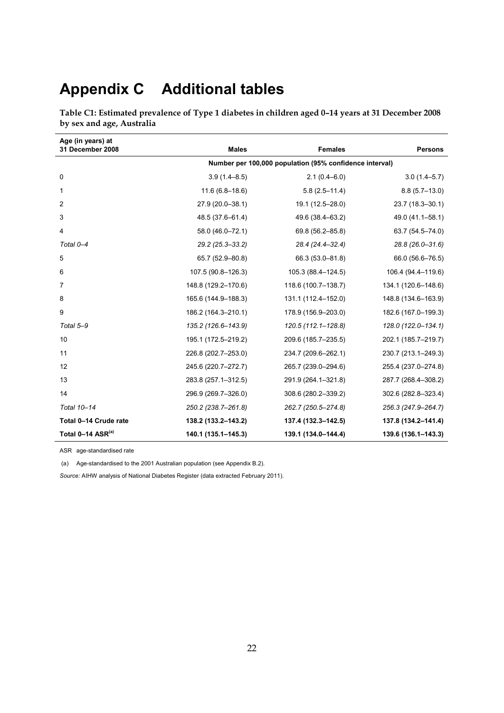# <span id="page-29-0"></span>**Appendix C Additional tables**

<span id="page-29-1"></span>**Table C1: Estimated prevalence of Type 1 diabetes in children aged 0–14 years at 31 December 2008 by sex and age, Australia**

| Age (in years) at<br>31 December 2008 | <b>Males</b>        | <b>Females</b>                                          | <b>Persons</b>      |
|---------------------------------------|---------------------|---------------------------------------------------------|---------------------|
|                                       |                     | Number per 100,000 population (95% confidence interval) |                     |
| 0                                     | $3.9(1.4 - 8.5)$    | $2.1(0.4 - 6.0)$                                        | $3.0(1.4 - 5.7)$    |
| 1                                     | $11.6(6.8 - 18.6)$  | $5.8(2.5 - 11.4)$                                       | $8.8(5.7-13.0)$     |
| 2                                     | 27.9 (20.0-38.1)    | 19.1 (12.5-28.0)                                        | 23.7 (18.3-30.1)    |
| 3                                     | 48.5 (37.6-61.4)    | 49.6 (38.4-63.2)                                        | 49.0 (41.1-58.1)    |
| 4                                     | 58.0 (46.0-72.1)    | 69.8 (56.2-85.8)                                        | 63.7 (54.5-74.0)    |
| Total 0-4                             | 29.2 (25.3-33.2)    | 28.4 (24.4-32.4)                                        | 28.8 (26.0-31.6)    |
| 5                                     | 65.7 (52.9-80.8)    | 66.3 (53.0-81.8)                                        | 66.0 (56.6-76.5)    |
| 6                                     | 107.5 (90.8-126.3)  | 105.3 (88.4-124.5)                                      | 106.4 (94.4-119.6)  |
| 7                                     | 148.8 (129.2-170.6) | 118.6 (100.7-138.7)                                     | 134.1 (120.6-148.6) |
| 8                                     | 165.6 (144.9-188.3) | 131.1 (112.4–152.0)                                     | 148.8 (134.6-163.9) |
| 9                                     | 186.2 (164.3-210.1) | 178.9 (156.9-203.0)                                     | 182.6 (167.0-199.3) |
| Total 5-9                             | 135.2 (126.6-143.9) | 120.5 (112.1–128.8)                                     | 128.0 (122.0-134.1) |
| 10                                    | 195.1 (172.5-219.2) | 209.6 (185.7-235.5)                                     | 202.1 (185.7-219.7) |
| 11                                    | 226.8 (202.7-253.0) | 234.7 (209.6-262.1)                                     | 230.7 (213.1-249.3) |
| 12                                    | 245.6 (220.7-272.7) | 265.7 (239.0-294.6)                                     | 255.4 (237.0-274.8) |
| 13                                    | 283.8 (257.1-312.5) | 291.9 (264.1-321.8)                                     | 287.7 (268.4-308.2) |
| 14                                    | 296.9 (269.7-326.0) | 308.6 (280.2-339.2)                                     | 302.6 (282.8-323.4) |
| Total 10-14                           | 250.2 (238.7-261.8) | 262.7 (250.5-274.8)                                     | 256.3 (247.9-264.7) |
| Total 0-14 Crude rate                 | 138.2 (133.2-143.2) | 137.4 (132.3–142.5)                                     | 137.8 (134.2-141.4) |
| Total 0-14 ASR(a)                     | 140.1 (135.1-145.3) | 139.1 (134.0-144.4)                                     | 139.6 (136.1-143.3) |

ASR age-standardised rate

(a) Age-standardised to the 2001 Australian population (see Appendix B.2).

*Source:* AIHW analysis of National Diabetes Register (data extracted February 2011).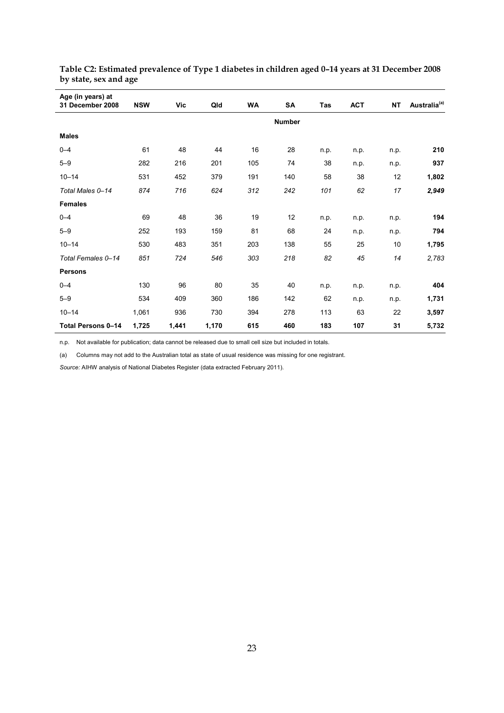| Age (in years) at<br>31 December 2008 | <b>NSW</b> | Vic   | Qld   | <b>WA</b> | SA            | Tas  | <b>ACT</b> | <b>NT</b> | Australia <sup>(a)</sup> |
|---------------------------------------|------------|-------|-------|-----------|---------------|------|------------|-----------|--------------------------|
|                                       |            |       |       |           | <b>Number</b> |      |            |           |                          |
| <b>Males</b>                          |            |       |       |           |               |      |            |           |                          |
| $0 - 4$                               | 61         | 48    | 44    | 16        | 28            | n.p. | n.p.       | n.p.      | 210                      |
| $5 - 9$                               | 282        | 216   | 201   | 105       | 74            | 38   | n.p.       | n.p.      | 937                      |
| $10 - 14$                             | 531        | 452   | 379   | 191       | 140           | 58   | 38         | 12        | 1,802                    |
| Total Males 0-14                      | 874        | 716   | 624   | 312       | 242           | 101  | 62         | 17        | 2,949                    |
| <b>Females</b>                        |            |       |       |           |               |      |            |           |                          |
| $0 - 4$                               | 69         | 48    | 36    | 19        | 12            | n.p. | n.p.       | n.p.      | 194                      |
| $5 - 9$                               | 252        | 193   | 159   | 81        | 68            | 24   | n.p.       | n p.      | 794                      |
| $10 - 14$                             | 530        | 483   | 351   | 203       | 138           | 55   | 25         | 10        | 1,795                    |
| Total Females 0-14                    | 851        | 724   | 546   | 303       | 218           | 82   | 45         | 14        | 2,783                    |
| <b>Persons</b>                        |            |       |       |           |               |      |            |           |                          |
| $0 - 4$                               | 130        | 96    | 80    | 35        | 40            | n.p. | n.p.       | n.p.      | 404                      |
| $5 - 9$                               | 534        | 409   | 360   | 186       | 142           | 62   | n.p.       | n.p.      | 1,731                    |
| $10 - 14$                             | 1,061      | 936   | 730   | 394       | 278           | 113  | 63         | 22        | 3,597                    |
| <b>Total Persons 0-14</b>             | 1,725      | 1,441 | 1,170 | 615       | 460           | 183  | 107        | 31        | 5,732                    |

<span id="page-30-0"></span>**Table C2: Estimated prevalence of Type 1 diabetes in children aged 0–14 years at 31 December 2008 by state, sex and age**

n.p. Not available for publication; data cannot be released due to small cell size but included in totals.

(a) Columns may not add to the Australian total as state of usual residence was missing for one registrant.

*Source:* AIHW analysis of National Diabetes Register (data extracted February 2011).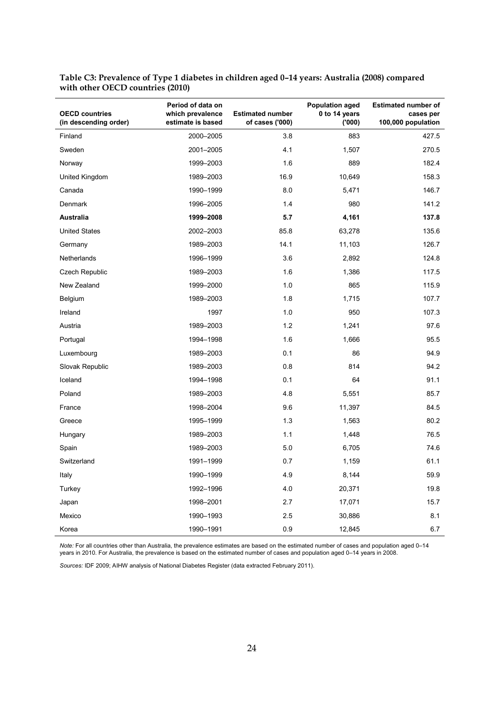| <b>OECD countries</b><br>(in descending order) | Period of data on<br>which prevalence<br>estimate is based | <b>Estimated number</b><br>of cases ('000) | <b>Population aged</b><br>0 to 14 years<br>(000) | <b>Estimated number of</b><br>cases per<br>100,000 population |
|------------------------------------------------|------------------------------------------------------------|--------------------------------------------|--------------------------------------------------|---------------------------------------------------------------|
| Finland                                        | 2000-2005                                                  | 3.8                                        | 883                                              | 427.5                                                         |
| Sweden                                         | 2001-2005                                                  | 4.1                                        | 1,507                                            | 270.5                                                         |
| Norway                                         | 1999-2003                                                  | 1.6                                        | 889                                              | 182.4                                                         |
| United Kingdom                                 | 1989-2003                                                  | 16.9                                       | 10,649                                           | 158.3                                                         |
| Canada                                         | 1990-1999                                                  | 8.0                                        | 5,471                                            | 146.7                                                         |
| Denmark                                        | 1996-2005                                                  | 1.4                                        | 980                                              | 141.2                                                         |
| Australia                                      | 1999-2008                                                  | 5.7                                        | 4,161                                            | 137.8                                                         |
| <b>United States</b>                           | 2002-2003                                                  | 85.8                                       | 63,278                                           | 135.6                                                         |
| Germany                                        | 1989-2003                                                  | 14.1                                       | 11,103                                           | 126.7                                                         |
| Netherlands                                    | 1996-1999                                                  | 3.6                                        | 2,892                                            | 124.8                                                         |
| Czech Republic                                 | 1989-2003                                                  | 1.6                                        | 1,386                                            | 117.5                                                         |
| New Zealand                                    | 1999-2000                                                  | 1.0                                        | 865                                              | 115.9                                                         |
| <b>Belgium</b>                                 | 1989-2003                                                  | 1.8                                        | 1,715                                            | 107.7                                                         |
| Ireland                                        | 1997                                                       | 1.0                                        | 950                                              | 107.3                                                         |
| Austria                                        | 1989-2003                                                  | 1.2                                        | 1,241                                            | 97.6                                                          |
| Portugal                                       | 1994-1998                                                  | 1.6                                        | 1,666                                            | 95.5                                                          |
| Luxembourg                                     | 1989-2003                                                  | 0.1                                        | 86                                               | 94.9                                                          |
| Slovak Republic                                | 1989-2003                                                  | 0.8                                        | 814                                              | 94.2                                                          |
| Iceland                                        | 1994-1998                                                  | 0.1                                        | 64                                               | 91.1                                                          |
| Poland                                         | 1989-2003                                                  | 4.8                                        | 5,551                                            | 85.7                                                          |
| France                                         | 1998-2004                                                  | 9.6                                        | 11,397                                           | 84.5                                                          |
| Greece                                         | 1995-1999                                                  | 1.3                                        | 1,563                                            | 80.2                                                          |
| Hungary                                        | 1989-2003                                                  | 1.1                                        | 1,448                                            | 76.5                                                          |
| Spain                                          | 1989-2003                                                  | 5.0                                        | 6,705                                            | 74.6                                                          |
| Switzerland                                    | 1991-1999                                                  | 0.7                                        | 1,159                                            | 61.1                                                          |
| Italy                                          | 1990-1999                                                  | 4.9                                        | 8,144                                            | 59.9                                                          |
| Turkey                                         | 1992-1996                                                  | 4.0                                        | 20,371                                           | 19.8                                                          |
| Japan                                          | 1998-2001                                                  | 2.7                                        | 17,071                                           | 15.7                                                          |
| Mexico                                         | 1990-1993                                                  | 2.5                                        | 30,886                                           | 8.1                                                           |
| Korea                                          | 1990-1991                                                  | 0.9                                        | 12,845                                           | 6.7                                                           |

#### <span id="page-31-0"></span>**Table C3: Prevalence of Type 1 diabetes in children aged 0–14 years: Australia (2008) compared with other OECD countries (2010)**

*Note:* For all countries other than Australia, the prevalence estimates are based on the estimated number of cases and population aged 0–14 years in 2010. For Australia, the prevalence is based on the estimated number of cases and population aged 0–14 years in 2008.

*Sources:* IDF 2009; AIHW analysis of National Diabetes Register (data extracted February 2011).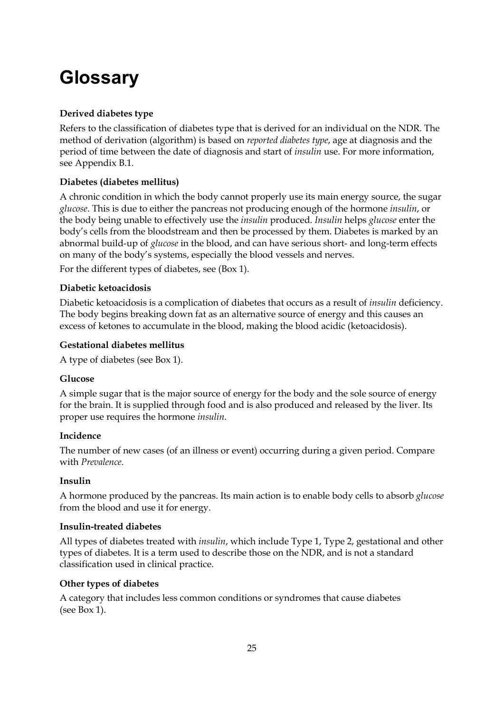# <span id="page-32-0"></span>**Glossary**

#### **Derived diabetes type**

Refers to the classification of diabetes type that is derived for an individual on the NDR. The method of derivation (algorithm) is based on *reported diabetes type*, age at diagnosis and the period of time between the date of diagnosis and start of *insulin* use. For more information, see Appendix B.1.

#### **Diabetes (diabetes mellitus)**

A chronic condition in which the body cannot properly use its main energy source, the sugar *glucose*. This is due to either the pancreas not producing enough of the hormone *insulin*, or the body being unable to effectively use the *insulin* produced. *Insulin* helps *glucose* enter the body's cells from the bloodstream and then be processed by them. Diabetes is marked by an abnormal build-up of *glucose* in the blood, and can have serious short- and long-term effects on many of the body's systems, especially the blood vessels and nerves.

For the different types of diabetes, see (Box 1).

#### **Diabetic ketoacidosis**

Diabetic ketoacidosis is a complication of diabetes that occurs as a result of *insulin* deficiency. The body begins breaking down fat as an alternative source of energy and this causes an excess of ketones to accumulate in the blood, making the blood acidic (ketoacidosis).

#### **Gestational diabetes mellitus**

A type of diabetes (see Box 1).

#### **Glucose**

A simple sugar that is the major source of energy for the body and the sole source of energy for the brain. It is supplied through food and is also produced and released by the liver. Its proper use requires the hormone *insulin*.

#### **Incidence**

The number of new cases (of an illness or event) occurring during a given period. Compare with *Prevalence.*

#### **Insulin**

A hormone produced by the pancreas. Its main action is to enable body cells to absorb *glucose* from the blood and use it for energy.

#### **Insulin-treated diabetes**

All types of diabetes treated with *insulin*, which include Type 1, Type 2, gestational and other types of diabetes. It is a term used to describe those on the NDR, and is not a standard classification used in clinical practice.

#### **Other types of diabetes**

A category that includes less common conditions or syndromes that cause diabetes (see Box 1).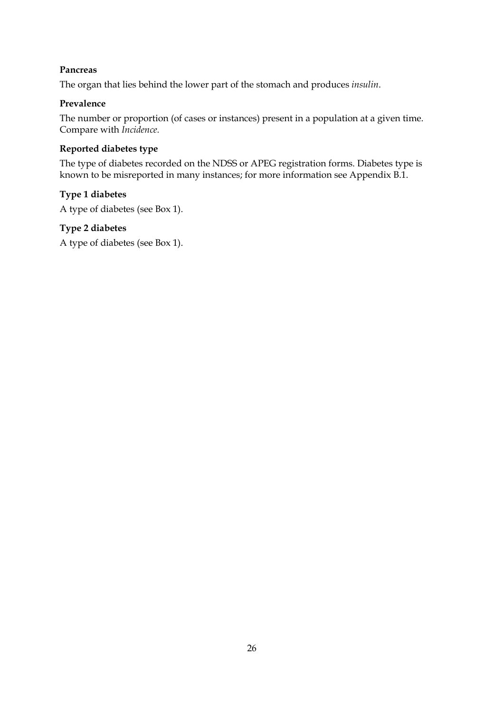#### **Pancreas**

The organ that lies behind the lower part of the stomach and produces *insulin*.

#### **Prevalence**

The number or proportion (of cases or instances) present in a population at a given time. Compare with *Incidence.*

#### **Reported diabetes type**

The type of diabetes recorded on the NDSS or APEG registration forms. Diabetes type is known to be misreported in many instances; for more information see Appendix B.1.

#### **Type 1 diabetes**

A type of diabetes (see Box 1).

#### **Type 2 diabetes**

A type of diabetes (see Box 1).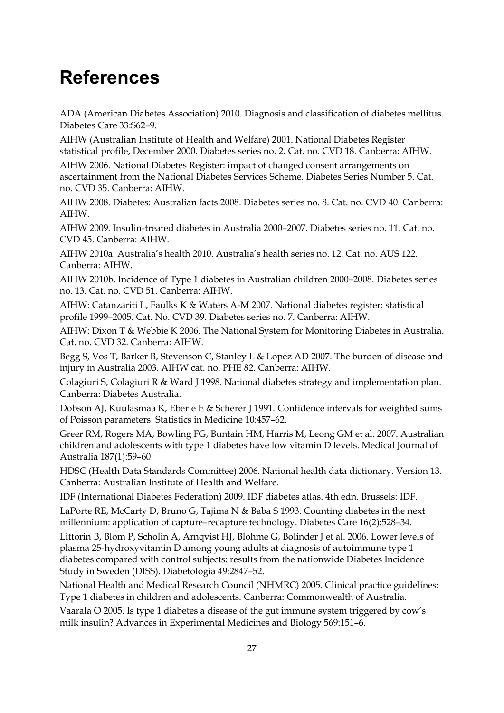# <span id="page-34-0"></span>**References**

ADA (American Diabetes Association) 2010. Diagnosis and classification of diabetes mellitus. Diabetes Care 33:S62–9.

AIHW (Australian Institute of Health and Welfare) 2001. National Diabetes Register statistical profile, December 2000. Diabetes series no. 2. Cat. no. CVD 18. Canberra: AIHW.

AIHW 2006. National Diabetes Register: impact of changed consent arrangements on ascertainment from the National Diabetes Services Scheme. Diabetes Series Number 5. Cat. no. CVD 35. Canberra: AIHW.

AIHW 2008. Diabetes: Australian facts 2008. Diabetes series no. 8. Cat. no. CVD 40. Canberra: AIHW.

AIHW 2009. Insulin-treated diabetes in Australia 2000–2007. Diabetes series no. 11. Cat. no. CVD 45. Canberra: AIHW.

AIHW 2010a. Australia's health 2010. Australia's health series no. 12. Cat. no. AUS 122. Canberra: AIHW.

AIHW 2010b. Incidence of Type 1 diabetes in Australian children 2000–2008. Diabetes series no. 13. Cat. no. CVD 51. Canberra: AIHW.

AIHW: Catanzariti L, Faulks K & Waters A-M 2007. National diabetes register: statistical profile 1999–2005. Cat. No. CVD 39. Diabetes series no. 7. Canberra: AIHW.

AIHW: Dixon T & Webbie K 2006. The National System for Monitoring Diabetes in Australia. Cat. no. CVD 32. Canberra: AIHW.

Begg S, Vos T, Barker B, Stevenson C, Stanley L & Lopez AD 2007. The burden of disease and injury in Australia 2003. AIHW cat. no. PHE 82. Canberra: AIHW.

Colagiuri S, Colagiuri R & Ward J 1998. National diabetes strategy and implementation plan. Canberra: Diabetes Australia.

Dobson AJ, Kuulasmaa K, Eberle E & Scherer J 1991. Confidence intervals for weighted sums of Poisson parameters. Statistics in Medicine 10:457–62.

Greer RM, Rogers MA, Bowling FG, Buntain HM, Harris M, Leong GM et al. 2007. Australian children and adolescents with type 1 diabetes have low vitamin D levels. Medical Journal of Australia 187(1):59–60.

HDSC (Health Data Standards Committee) 2006. National health data dictionary. Version 13. Canberra: Australian Institute of Health and Welfare.

IDF (International Diabetes Federation) 2009. IDF diabetes atlas. 4th edn. Brussels: IDF.

LaPorte RE, McCarty D, Bruno G, Tajima N & Baba S 1993. Counting diabetes in the next millennium: application of capture–recapture technology. Diabetes Care 16(2):528–34.

Littorin B, Blom P, Scholin A, Arnqvist HJ, Blohme G, Bolinder J et al. 2006. Lower levels of plasma 25-hydroxyvitamin D among young adults at diagnosis of autoimmune type 1 diabetes compared with control subjects: results from the nationwide Diabetes Incidence Study in Sweden (DISS). Diabetologia 49:2847–52.

National Health and Medical Research Council (NHMRC) 2005. Clinical practice guidelines: Type 1 diabetes in children and adolescents. Canberra: Commonwealth of Australia.

Vaarala O 2005. Is type 1 diabetes a disease of the gut immune system triggered by cow's milk insulin? Advances in Experimental Medicines and Biology 569:151–6.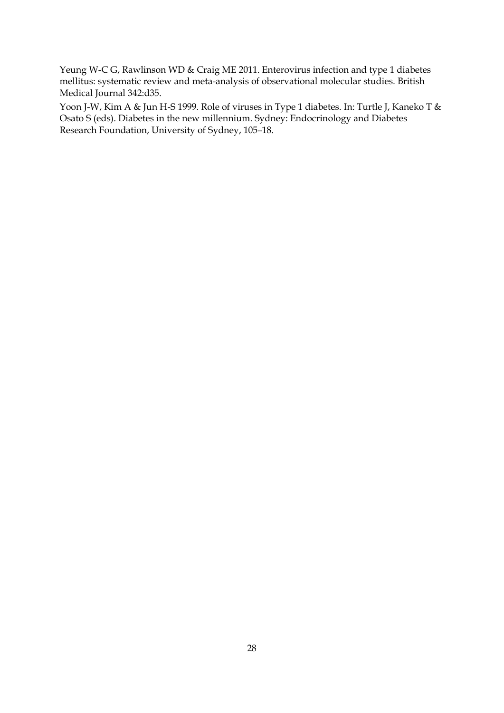Yeung W-C G, Rawlinson WD & Craig ME 2011. Enterovirus infection and type 1 diabetes mellitus: systematic review and meta-analysis of observational molecular studies. British Medical Journal 342:d35.

Yoon J-W, Kim A & Jun H-S 1999. Role of viruses in Type 1 diabetes. In: Turtle J, Kaneko T & Osato S (eds). Diabetes in the new millennium. Sydney: Endocrinology and Diabetes Research Foundation, University of Sydney, 105–18.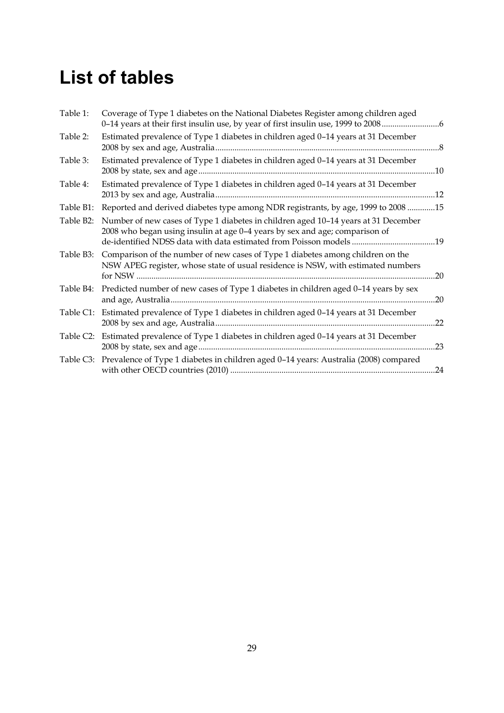# <span id="page-36-0"></span>**List of tables**

| Table 1:  | Coverage of Type 1 diabetes on the National Diabetes Register among children aged<br>0-14 years at their first insulin use, by year of first insulin use, 1999 to 2008 |     |
|-----------|------------------------------------------------------------------------------------------------------------------------------------------------------------------------|-----|
| Table 2:  | Estimated prevalence of Type 1 diabetes in children aged 0-14 years at 31 December                                                                                     |     |
| Table 3:  | Estimated prevalence of Type 1 diabetes in children aged 0-14 years at 31 December                                                                                     |     |
| Table 4:  | Estimated prevalence of Type 1 diabetes in children aged 0-14 years at 31 December                                                                                     |     |
| Table B1: | Reported and derived diabetes type among NDR registrants, by age, 1999 to 2008 15                                                                                      |     |
| Table B2: | Number of new cases of Type 1 diabetes in children aged 10-14 years at 31 December<br>2008 who began using insulin at age 0-4 years by sex and age; comparison of      |     |
| Table B3: | Comparison of the number of new cases of Type 1 diabetes among children on the<br>NSW APEG register, whose state of usual residence is NSW, with estimated numbers     | .20 |
| Table B4: | Predicted number of new cases of Type 1 diabetes in children aged 0-14 years by sex                                                                                    | .20 |
| Table C1: | Estimated prevalence of Type 1 diabetes in children aged 0-14 years at 31 December                                                                                     | .22 |
|           | Table C2: Estimated prevalence of Type 1 diabetes in children aged 0-14 years at 31 December                                                                           | .23 |
|           | Table C3: Prevalence of Type 1 diabetes in children aged 0-14 years: Australia (2008) compared                                                                         |     |
|           |                                                                                                                                                                        |     |